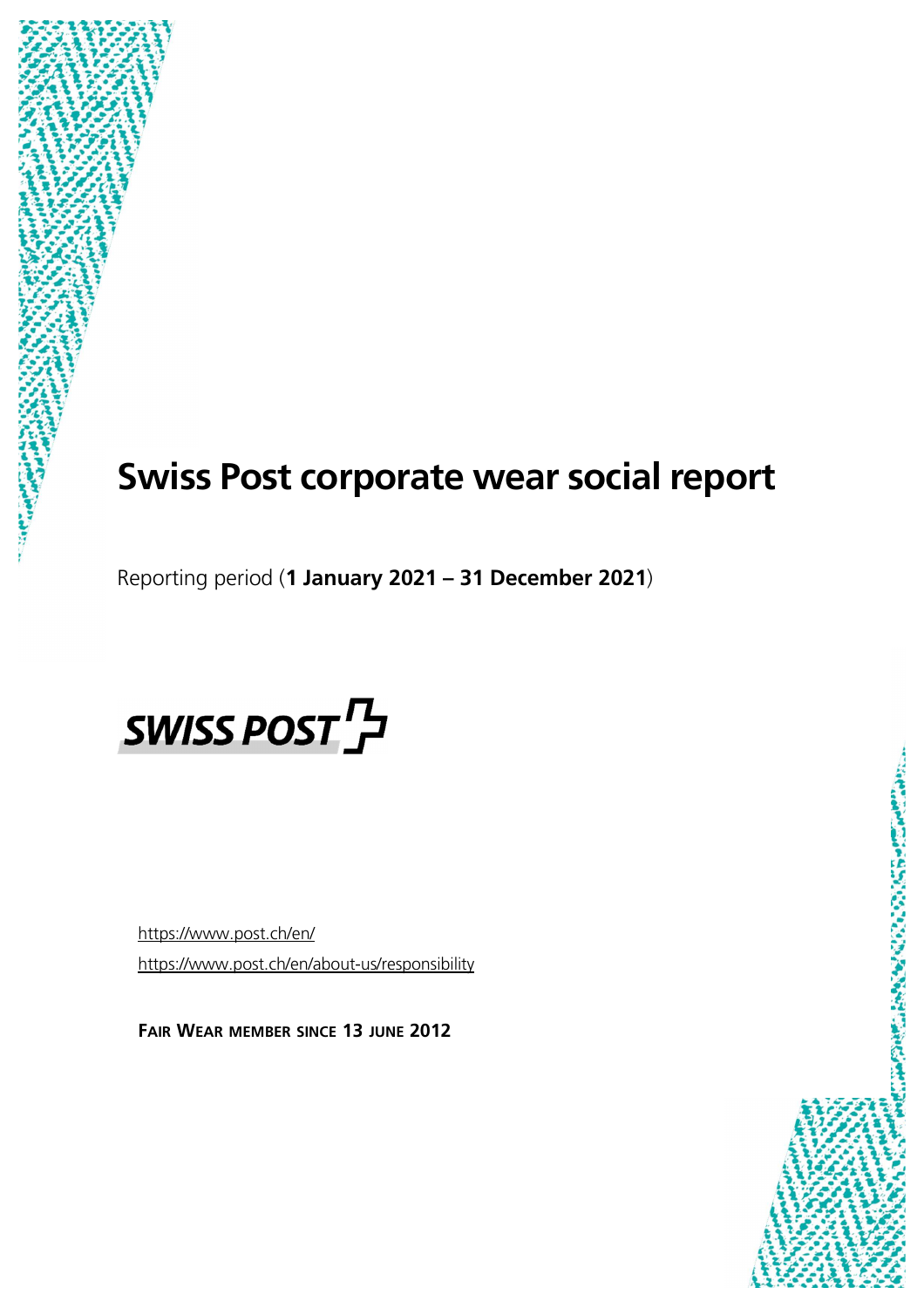# **Swiss Post corporate wear social report**

Reporting period (**1 January 2021 – 31 December 2021**)



https://www.post.ch/en/ https://www.post.ch/en/about-us/responsibility

**FAIR WEAR MEMBER SINCE 13 JUNE 2012** 

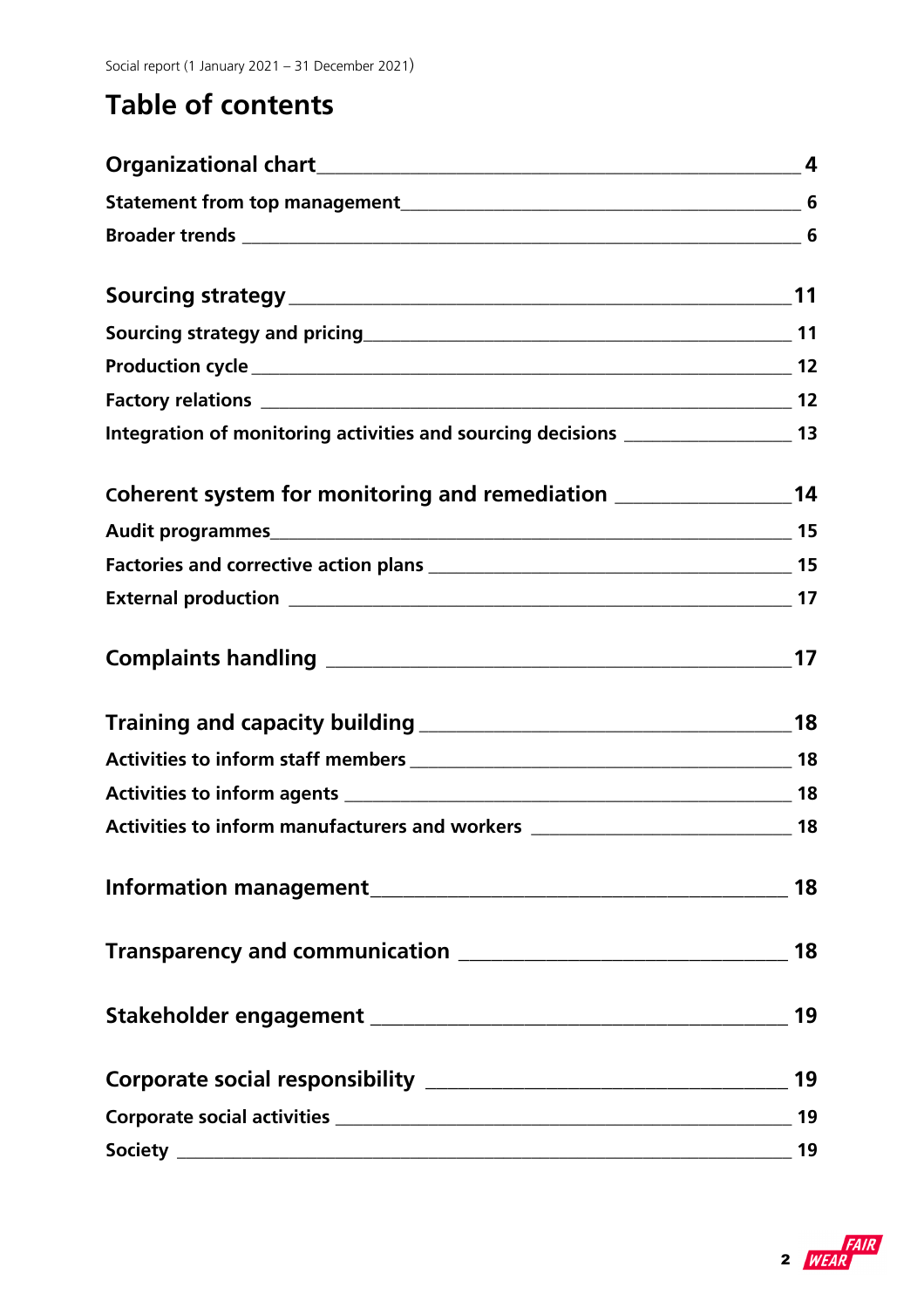## **Table of contents**

| Sourcing strategy and pricing 11 and 11 and 12 and 12 and 12 and 12 and 12 and 12 and 12 and 12 and 12 and 12 |    |
|---------------------------------------------------------------------------------------------------------------|----|
|                                                                                                               |    |
|                                                                                                               |    |
| Integration of monitoring activities and sourcing decisions ____________________ 13                           |    |
| Coherent system for monitoring and remediation _________________________________14                            |    |
|                                                                                                               |    |
|                                                                                                               |    |
|                                                                                                               |    |
|                                                                                                               |    |
|                                                                                                               |    |
|                                                                                                               |    |
|                                                                                                               |    |
| Activities to inform manufacturers and workers _________________________________ 18                           |    |
|                                                                                                               | 18 |
|                                                                                                               |    |
|                                                                                                               |    |
|                                                                                                               |    |
|                                                                                                               | 19 |
|                                                                                                               |    |

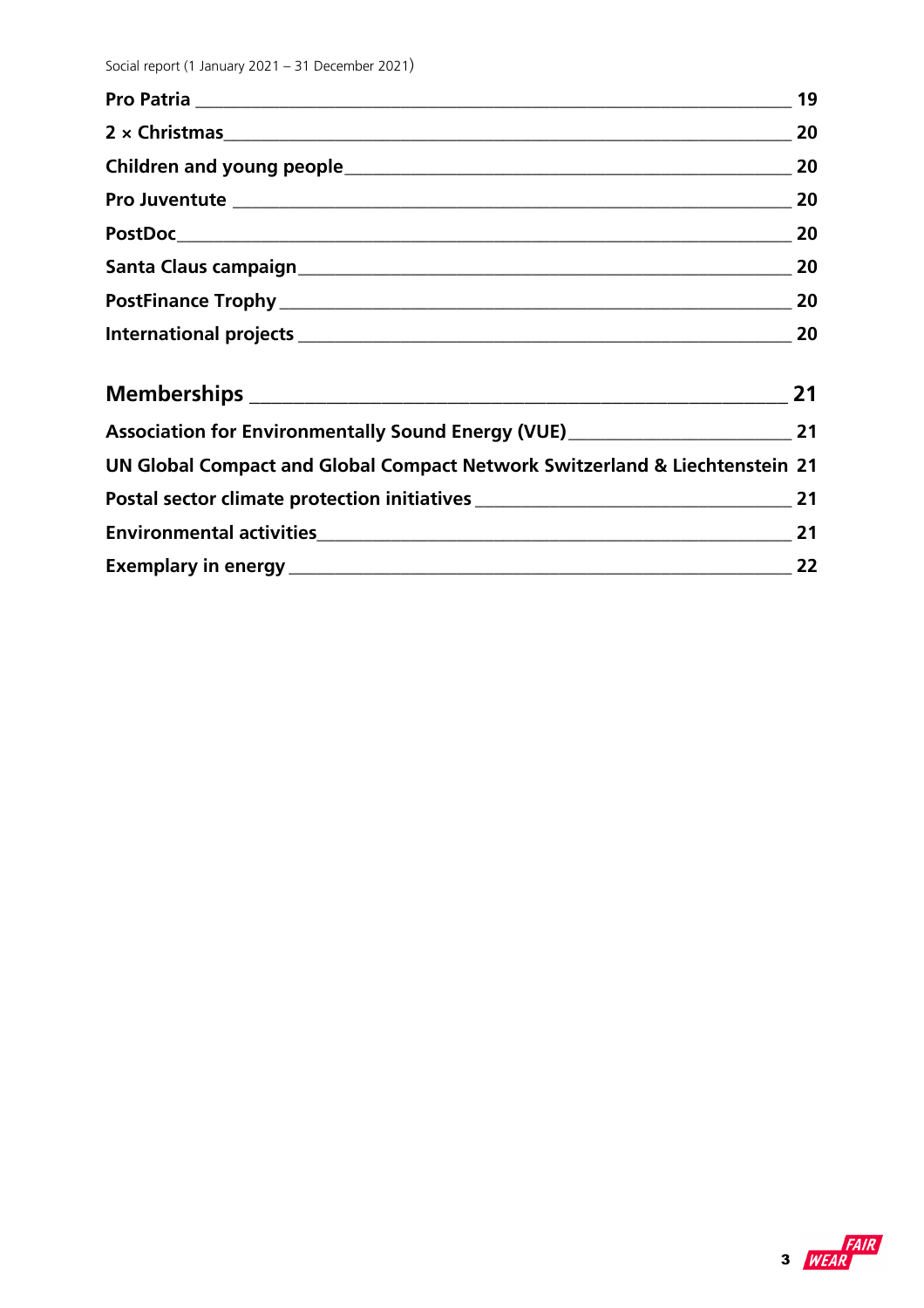| Pro Juventute 2020 20                                                                |    |
|--------------------------------------------------------------------------------------|----|
|                                                                                      |    |
|                                                                                      |    |
|                                                                                      |    |
| International projects 20 20                                                         |    |
|                                                                                      | 21 |
| Association for Environmentally Sound Energy (VUE)_______________________________ 21 |    |
| UN Global Compact and Global Compact Network Switzerland & Liechtenstein 21          |    |

| Postal sector climate protection initiatives |  |
|----------------------------------------------|--|
| <b>Environmental activities</b>              |  |
| <b>Exemplary in energy</b>                   |  |

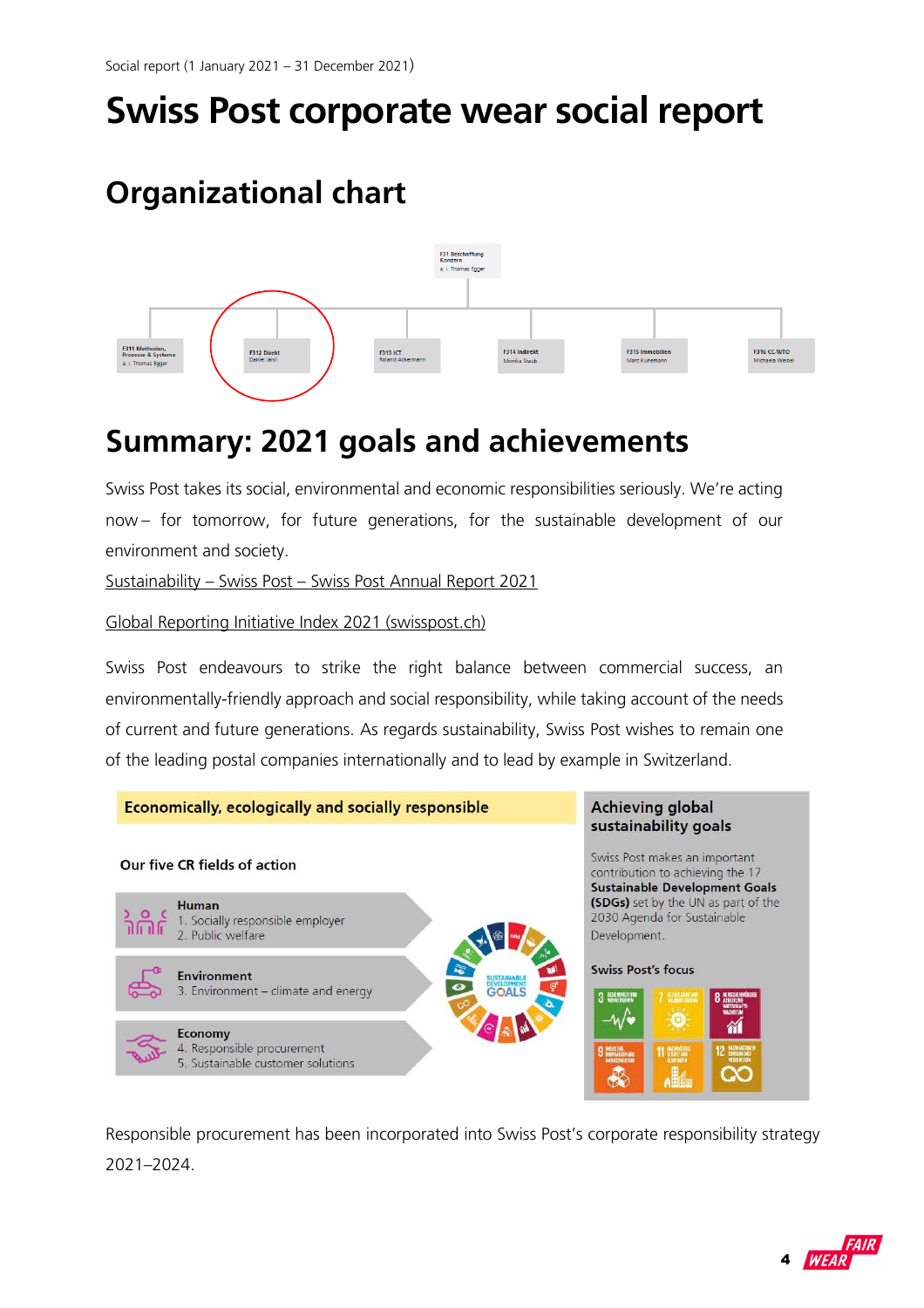# **Swiss Post corporate wear social report**

## **Organizational chart**



## **Summary: 2021 goals and achievements**

Swiss Post takes its social, environmental and economic responsibilities seriously. We're acting now – for tomorrow, for future generations, for the sustainable development of our environment and society.

Sustainability – Swiss Post – Swiss Post Annual Report 2021

Global Reporting Initiative Index 2021 (swisspost.ch)

Swiss Post endeavours to strike the right balance between commercial success, an environmentally-friendly approach and social responsibility, while taking account of the needs of current and future generations. As regards sustainability, Swiss Post wishes to remain one of the leading postal companies internationally and to lead by example in Switzerland.



Responsible procurement has been incorporated into Swiss Post's corporate responsibility strategy 2021–2024.

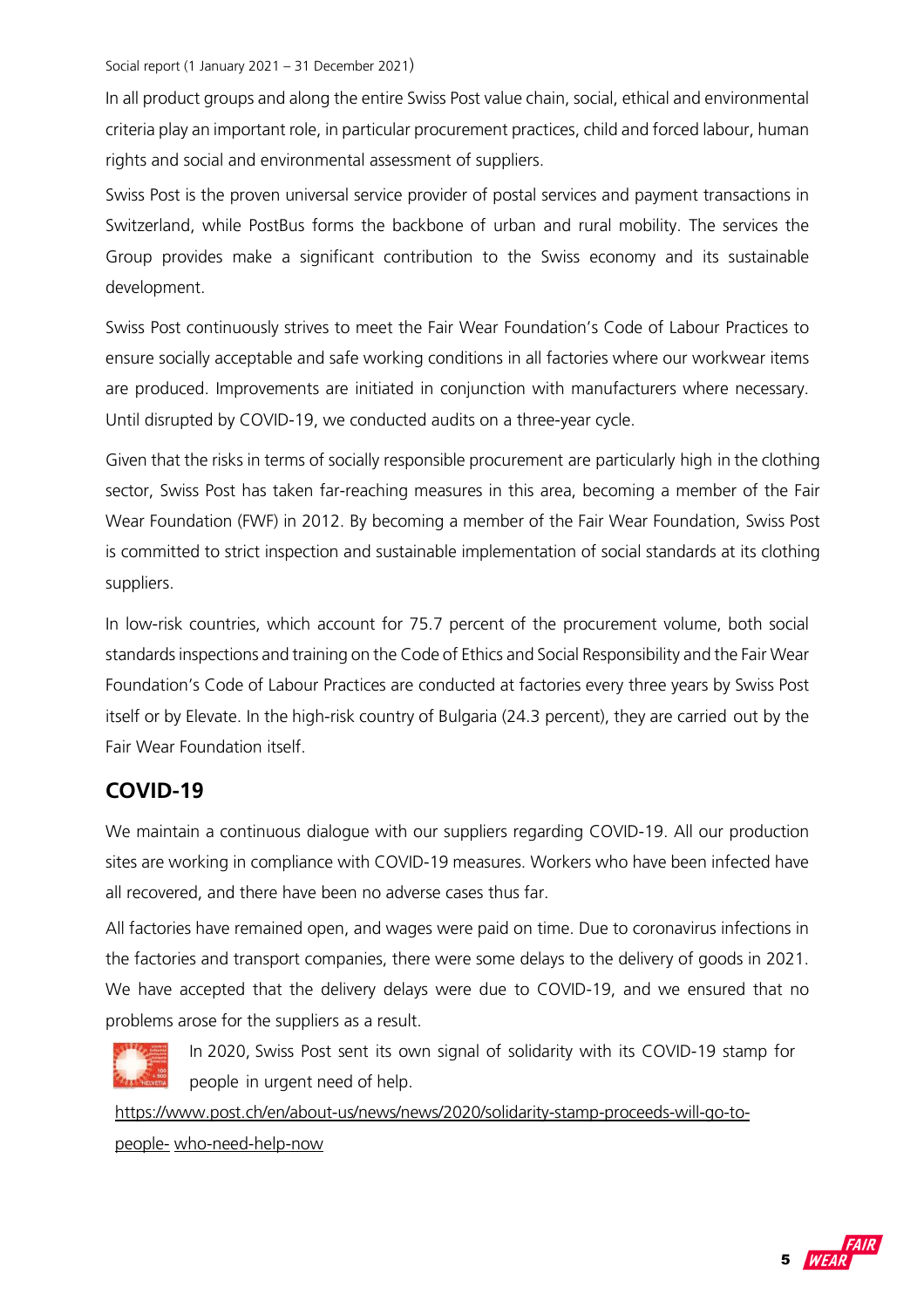In all product groups and along the entire Swiss Post value chain, social, ethical and environmental criteria play an important role, in particular procurement practices, child and forced labour, human rights and social and environmental assessment of suppliers.

Swiss Post is the proven universal service provider of postal services and payment transactions in Switzerland, while PostBus forms the backbone of urban and rural mobility. The services the Group provides make a significant contribution to the Swiss economy and its sustainable development.

Swiss Post continuously strives to meet the Fair Wear Foundation's Code of Labour Practices to ensure socially acceptable and safe working conditions in all factories where our workwear items are produced. Improvements are initiated in conjunction with manufacturers where necessary. Until disrupted by COVID-19, we conducted audits on a three-year cycle.

Given that the risks in terms of socially responsible procurement are particularly high in the clothing sector, Swiss Post has taken far-reaching measures in this area, becoming a member of the Fair Wear Foundation (FWF) in 2012. By becoming a member of the Fair Wear Foundation, Swiss Post is committed to strict inspection and sustainable implementation of social standards at its clothing suppliers.

In low-risk countries, which account for 75.7 percent of the procurement volume, both social standards inspections and training on the Code of Ethics and Social Responsibility and the Fair Wear Foundation's Code of Labour Practices are conducted at factories every three years by Swiss Post itself or by Elevate. In the high-risk country of Bulgaria (24.3 percent), they are carried out by the Fair Wear Foundation itself.

## **COVID-19**

We maintain a continuous dialogue with our suppliers regarding COVID-19. All our production sites are working in compliance with COVID-19 measures. Workers who have been infected have all recovered, and there have been no adverse cases thus far.

All factories have remained open, and wages were paid on time. Due to coronavirus infections in the factories and transport companies, there were some delays to the delivery of goods in 2021. We have accepted that the delivery delays were due to COVID-19, and we ensured that no problems arose for the suppliers as a result.



In 2020, Swiss Post sent its own signal of solidarity with its COVID-19 stamp for people in urgent need of help.

https://www.post.ch/en/about-us/news/news/2020/solidarity-stamp-proceeds-will-go-topeople- who-need-help-now

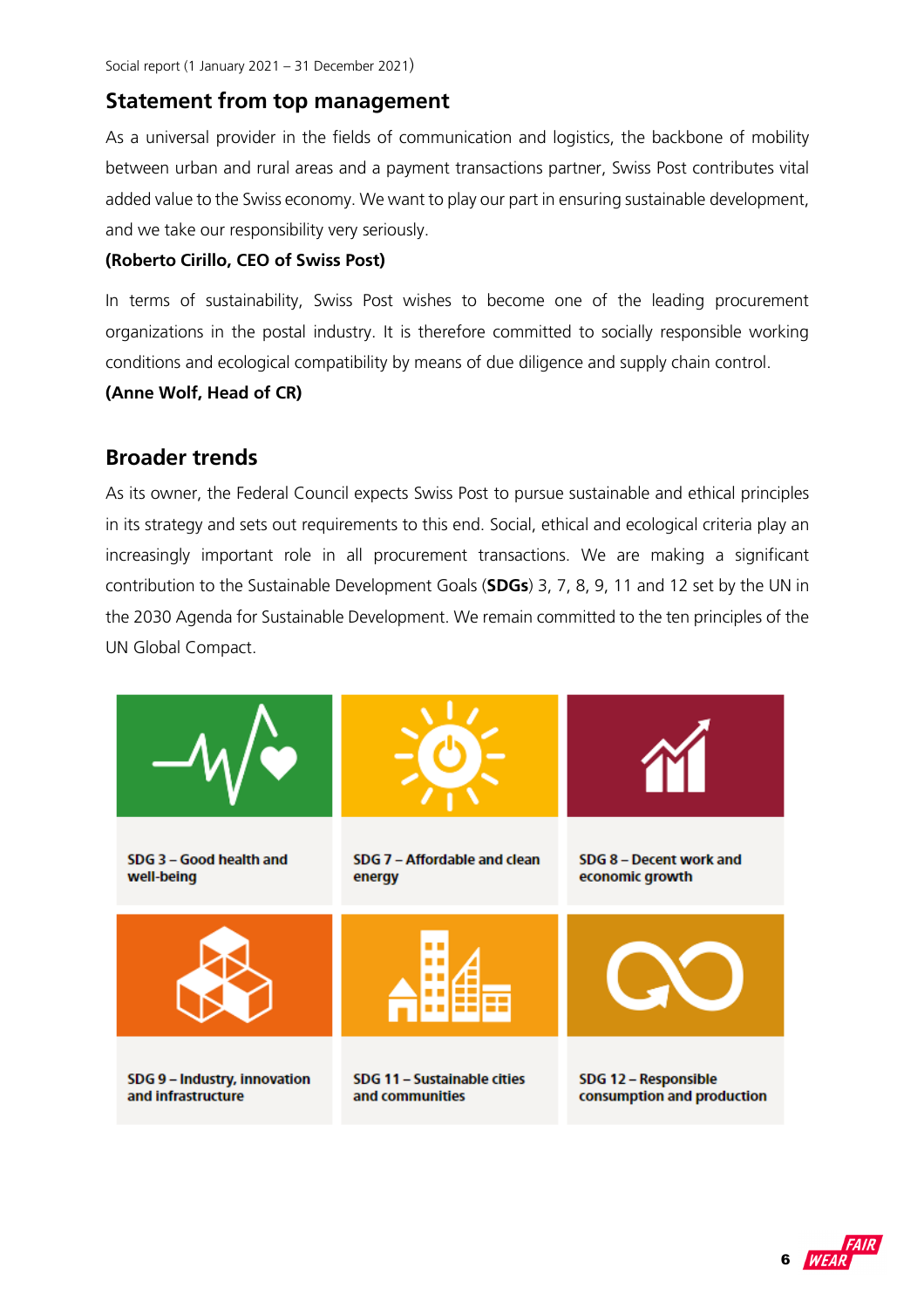## **Statement from top management**

As a universal provider in the fields of communication and logistics, the backbone of mobility between urban and rural areas and a payment transactions partner, Swiss Post contributes vital added value to the Swiss economy. We want to play our part in ensuring sustainable development, and we take our responsibility very seriously.

#### **(Roberto Cirillo, CEO of Swiss Post)**

In terms of sustainability, Swiss Post wishes to become one of the leading procurement organizations in the postal industry. It is therefore committed to socially responsible working conditions and ecological compatibility by means of due diligence and supply chain control.

#### **(Anne Wolf, Head of CR)**

## **Broader trends**

As its owner, the Federal Council expects Swiss Post to pursue sustainable and ethical principles in its strategy and sets out requirements to this end. Social, ethical and ecological criteria play an increasingly important role in all procurement transactions. We are making a significant contribution to the Sustainable Development Goals (**SDGs**) 3, 7, 8, 9, 11 and 12 set by the UN in the 2030 Agenda for Sustainable Development. We remain committed to the ten principles of the UN Global Compact.



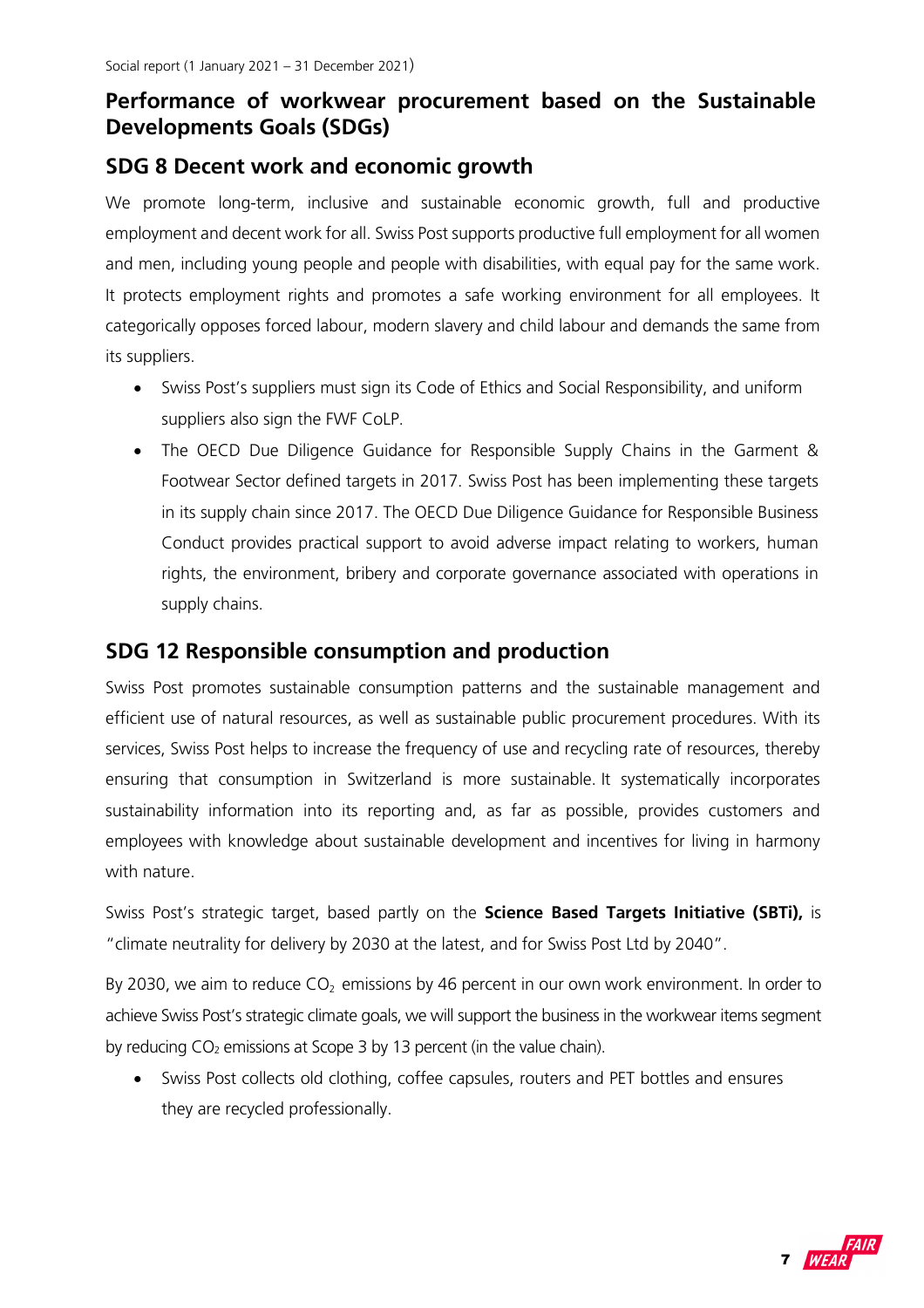## **Performance of workwear procurement based on the Sustainable Developments Goals (SDGs)**

### **SDG 8 Decent work and economic growth**

We promote long-term, inclusive and sustainable economic growth, full and productive employment and decent work for all. Swiss Post supports productive full employment for all women and men, including young people and people with disabilities, with equal pay for the same work. It protects employment rights and promotes a safe working environment for all employees. It categorically opposes forced labour, modern slavery and child labour and demands the same from its suppliers.

- Swiss Post's suppliers must sign its Code of Ethics and Social Responsibility, and uniform suppliers also sign the FWF CoLP.
- The OECD Due Diligence Guidance for Responsible Supply Chains in the Garment & Footwear Sector defined targets in 2017. Swiss Post has been implementing these targets in its supply chain since 2017. The OECD Due Diligence Guidance for Responsible Business Conduct provides practical support to avoid adverse impact relating to workers, human rights, the environment, bribery and corporate governance associated with operations in supply chains.

### **SDG 12 Responsible consumption and production**

Swiss Post promotes sustainable consumption patterns and the sustainable management and efficient use of natural resources, as well as sustainable public procurement procedures. With its services, Swiss Post helps to increase the frequency of use and recycling rate of resources, thereby ensuring that consumption in Switzerland is more sustainable. It systematically incorporates sustainability information into its reporting and, as far as possible, provides customers and employees with knowledge about sustainable development and incentives for living in harmony with nature.

Swiss Post's strategic target, based partly on the **Science Based Targets Initiative (SBTi),** is "climate neutrality for delivery by 2030 at the latest, and for Swiss Post Ltd by 2040".

By 2030, we aim to reduce  $CO<sub>2</sub>$  emissions by 46 percent in our own work environment. In order to achieve Swiss Post's strategic climate goals, we will support the business in the workwear items segment by reducing  $CO<sub>2</sub>$  emissions at Scope 3 by 13 percent (in the value chain).

 Swiss Post collects old clothing, coffee capsules, routers and PET bottles and ensures they are recycled professionally.

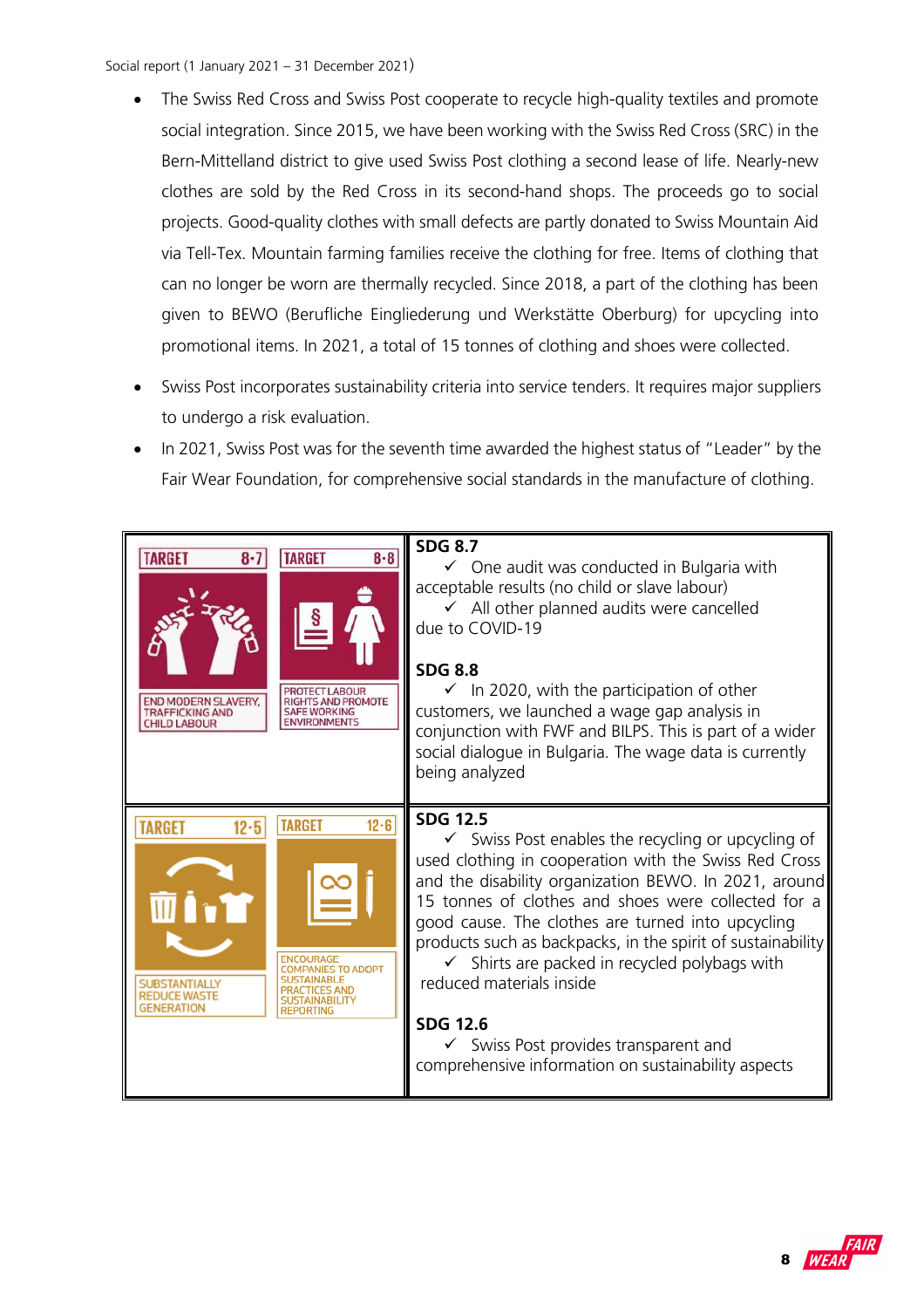- The Swiss Red Cross and Swiss Post cooperate to recycle high-quality textiles and promote social integration. Since 2015, we have been working with the Swiss Red Cross (SRC) in the Bern-Mittelland district to give used Swiss Post clothing a second lease of life. Nearly-new clothes are sold by the Red Cross in its second-hand shops. The proceeds go to social projects. Good-quality clothes with small defects are partly donated to Swiss Mountain Aid via Tell-Tex. Mountain farming families receive the clothing for free. Items of clothing that can no longer be worn are thermally recycled. Since 2018, a part of the clothing has been given to BEWO (Berufliche Eingliederung und Werkstätte Oberburg) for upcycling into promotional items. In 2021, a total of 15 tonnes of clothing and shoes were collected.
- Swiss Post incorporates sustainability criteria into service tenders. It requires major suppliers to undergo a risk evaluation.
- In 2021, Swiss Post was for the seventh time awarded the highest status of "Leader" by the Fair Wear Foundation, for comprehensive social standards in the manufacture of clothing.



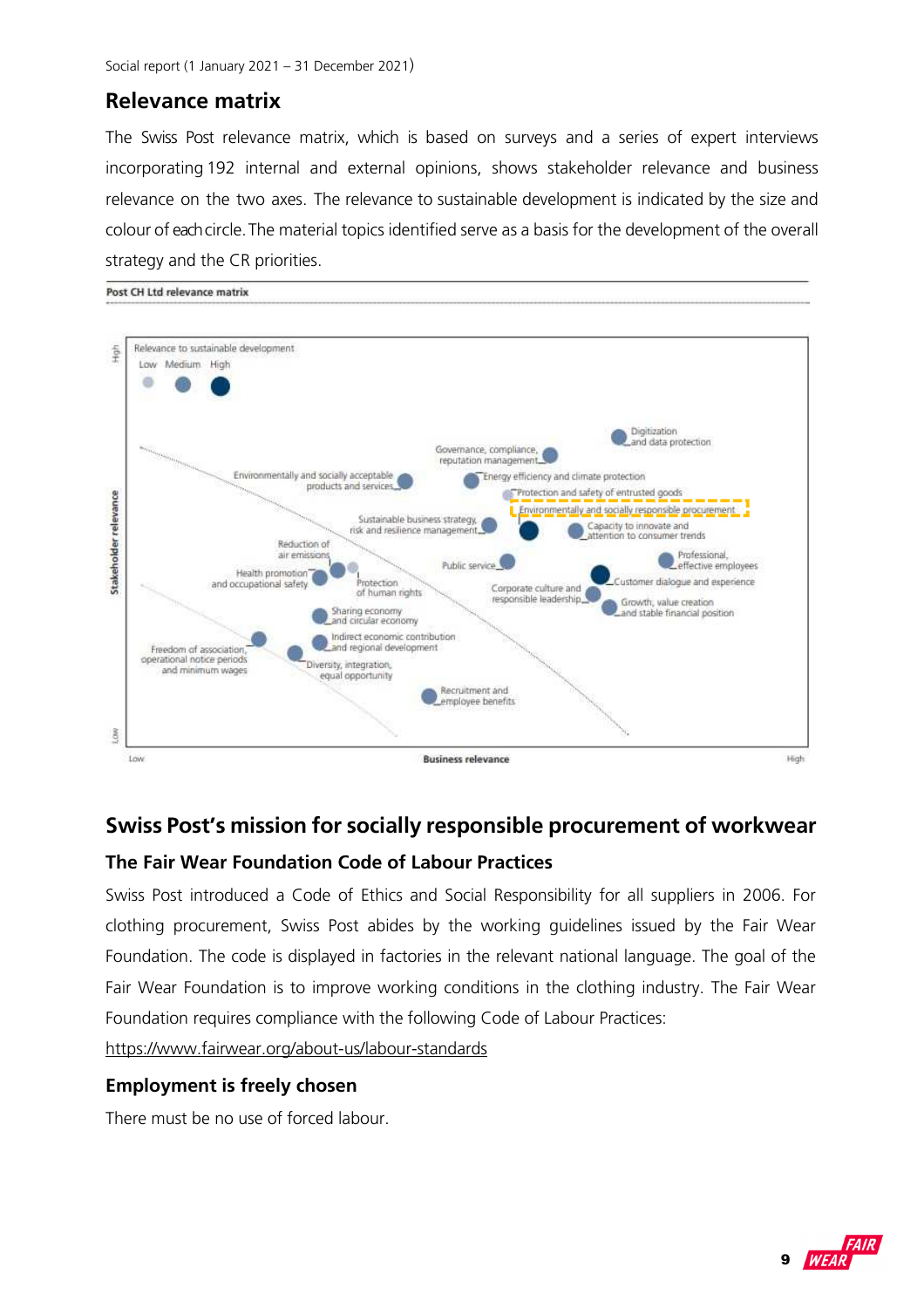### **Relevance matrix**

The Swiss Post relevance matrix, which is based on surveys and a series of expert interviews incorporating 192 internal and external opinions, shows stakeholder relevance and business relevance on the two axes. The relevance to sustainable development is indicated by the size and colour of each circle. The material topics identified serve as a basis for the development of the overall strategy and the CR priorities.



### **Swiss Post's mission for socially responsible procurement of workwear**

#### **The Fair Wear Foundation Code of Labour Practices**

Swiss Post introduced a Code of Ethics and Social Responsibility for all suppliers in 2006. For clothing procurement, Swiss Post abides by the working guidelines issued by the Fair Wear Foundation. The code is displayed in factories in the relevant national language. The goal of the Fair Wear Foundation is to improve working conditions in the clothing industry. The Fair Wear Foundation requires compliance with the following Code of Labour Practices:

https://www.fairwear.org/about-us/labour-standards

#### **Employment is freely chosen**

There must be no use of forced labour.

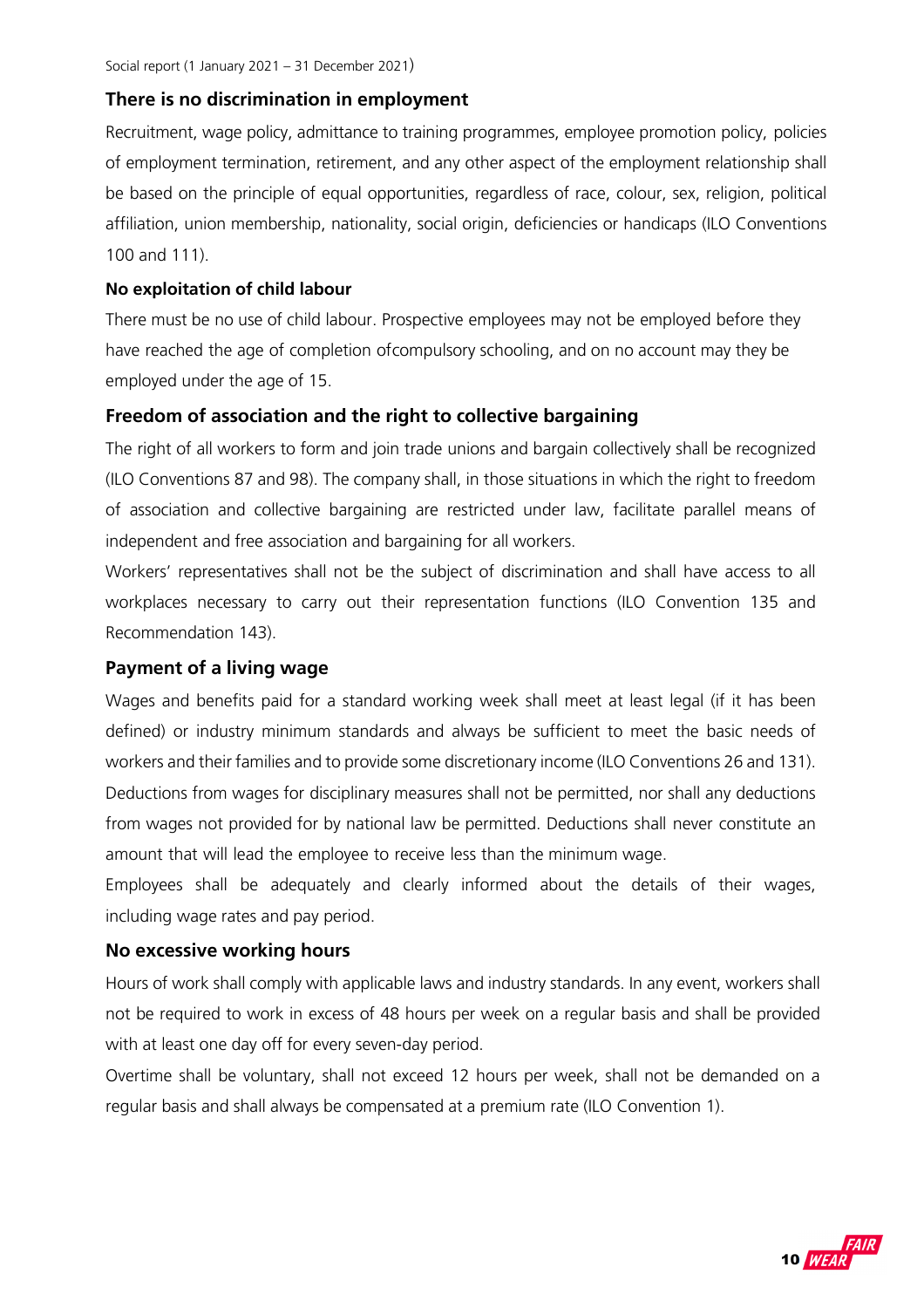#### **There is no discrimination in employment**

Recruitment, wage policy, admittance to training programmes, employee promotion policy, policies of employment termination, retirement, and any other aspect of the employment relationship shall be based on the principle of equal opportunities, regardless of race, colour, sex, religion, political affiliation, union membership, nationality, social origin, deficiencies or handicaps (ILO Conventions 100 and 111).

#### **No exploitation of child labour**

There must be no use of child labour. Prospective employees may not be employed before they have reached the age of completion of compulsory schooling, and on no account may they be employed under the age of 15.

#### **Freedom of association and the right to collective bargaining**

The right of all workers to form and join trade unions and bargain collectively shall be recognized (ILO Conventions 87 and 98). The company shall, in those situations in which the right to freedom of association and collective bargaining are restricted under law, facilitate parallel means of independent and free association and bargaining for all workers.

Workers' representatives shall not be the subject of discrimination and shall have access to all workplaces necessary to carry out their representation functions (ILO Convention 135 and Recommendation 143).

#### **Payment of a living wage**

Wages and benefits paid for a standard working week shall meet at least legal (if it has been defined) or industry minimum standards and always be sufficient to meet the basic needs of workers and their families and to provide some discretionary income (ILO Conventions 26 and 131). Deductions from wages for disciplinary measures shall not be permitted, nor shall any deductions from wages not provided for by national law be permitted. Deductions shall never constitute an amount that will lead the employee to receive less than the minimum wage.

Employees shall be adequately and clearly informed about the details of their wages, including wage rates and pay period.

#### **No excessive working hours**

Hours of work shall comply with applicable laws and industry standards. In any event, workers shall not be required to work in excess of 48 hours per week on a regular basis and shall be provided with at least one day off for every seven-day period.

Overtime shall be voluntary, shall not exceed 12 hours per week, shall not be demanded on a regular basis and shall always be compensated at a premium rate (ILO Convention 1).

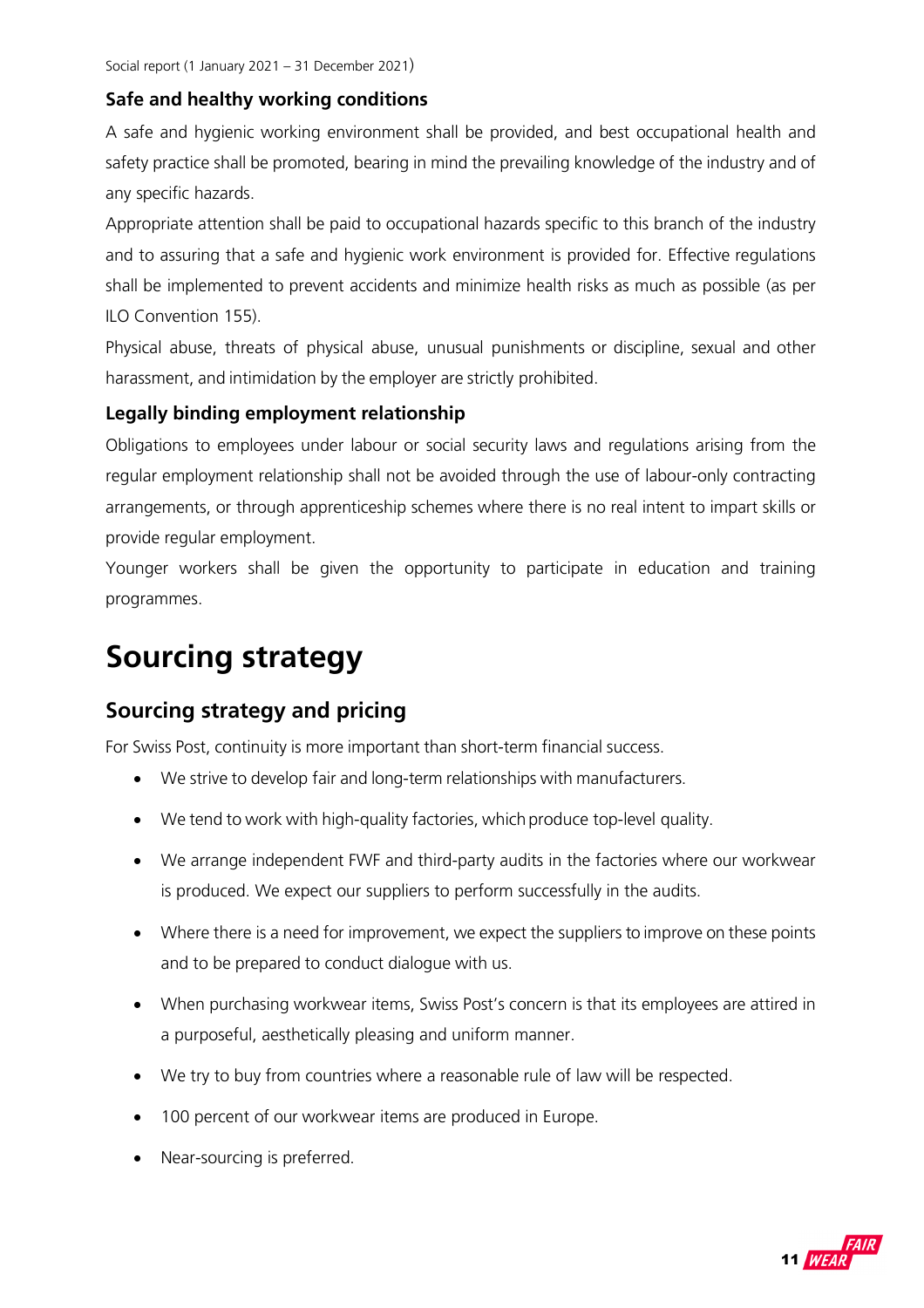#### **Safe and healthy working conditions**

A safe and hygienic working environment shall be provided, and best occupational health and safety practice shall be promoted, bearing in mind the prevailing knowledge of the industry and of any specific hazards.

Appropriate attention shall be paid to occupational hazards specific to this branch of the industry and to assuring that a safe and hygienic work environment is provided for. Effective regulations shall be implemented to prevent accidents and minimize health risks as much as possible (as per ILO Convention 155).

Physical abuse, threats of physical abuse, unusual punishments or discipline, sexual and other harassment, and intimidation by the employer are strictly prohibited.

#### **Legally binding employment relationship**

Obligations to employees under labour or social security laws and regulations arising from the regular employment relationship shall not be avoided through the use of labour-only contracting arrangements, or through apprenticeship schemes where there is no real intent to impart skills or provide regular employment.

Younger workers shall be given the opportunity to participate in education and training programmes.

## **Sourcing strategy**

### **Sourcing strategy and pricing**

For Swiss Post, continuity is more important than short-term financial success.

- We strive to develop fair and long-term relationships with manufacturers.
- We tend to work with high-quality factories, which produce top-level quality.
- We arrange independent FWF and third-party audits in the factories where our workwear is produced. We expect our suppliers to perform successfully in the audits.
- Where there is a need for improvement, we expect the suppliers to improve on these points and to be prepared to conduct dialogue with us.
- When purchasing workwear items, Swiss Post's concern is that its employees are attired in a purposeful, aesthetically pleasing and uniform manner.
- We try to buy from countries where a reasonable rule of law will be respected.
- 100 percent of our workwear items are produced in Europe.
- Near-sourcing is preferred.

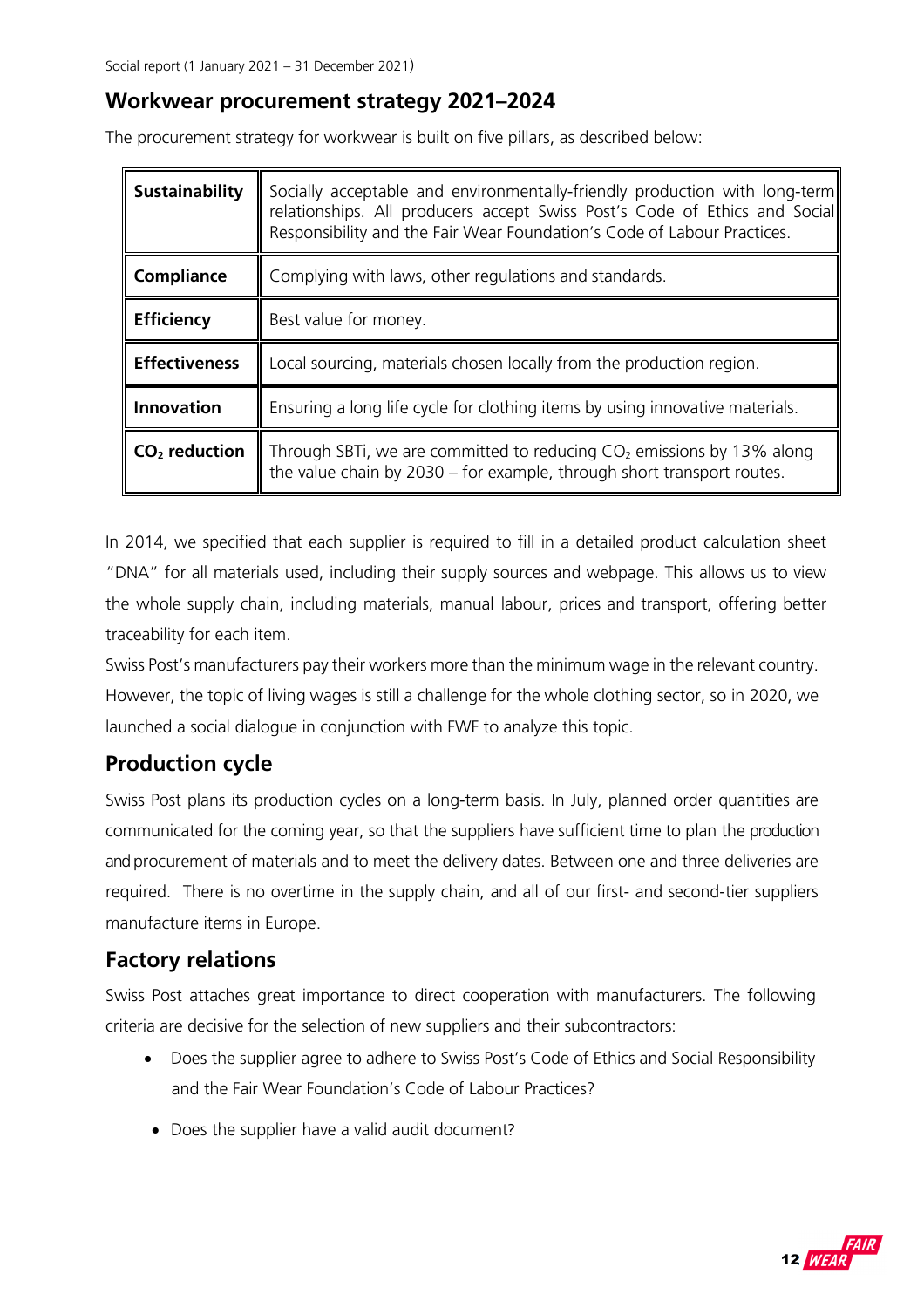### **Workwear procurement strategy 2021–2024**

The procurement strategy for workwear is built on five pillars, as described below:

| Sustainability       | Socially acceptable and environmentally-friendly production with long-term<br>relationships. All producers accept Swiss Post's Code of Ethics and Social<br>Responsibility and the Fair Wear Foundation's Code of Labour Practices. |
|----------------------|-------------------------------------------------------------------------------------------------------------------------------------------------------------------------------------------------------------------------------------|
| Compliance           | Complying with laws, other regulations and standards.                                                                                                                                                                               |
| <b>Efficiency</b>    | Best value for money.                                                                                                                                                                                                               |
| <b>Effectiveness</b> | Local sourcing, materials chosen locally from the production region.                                                                                                                                                                |
| <b>Innovation</b>    | Ensuring a long life cycle for clothing items by using innovative materials.                                                                                                                                                        |
| $CO2$ reduction      | Through SBTi, we are committed to reducing $CO2$ emissions by 13% along<br>the value chain by 2030 – for example, through short transport routes.                                                                                   |

In 2014, we specified that each supplier is required to fill in a detailed product calculation sheet "DNA" for all materials used, including their supply sources and webpage. This allows us to view the whole supply chain, including materials, manual labour, prices and transport, offering better traceability for each item.

Swiss Post's manufacturers pay their workers more than the minimum wage in the relevant country. However, the topic of living wages is still a challenge for the whole clothing sector, so in 2020, we launched a social dialogue in conjunction with FWF to analyze this topic.

## **Production cycle**

Swiss Post plans its production cycles on a long-term basis. In July, planned order quantities are communicated for the coming year, so that the suppliers have sufficient time to plan the production and procurement of materials and to meet the delivery dates. Between one and three deliveries are required. There is no overtime in the supply chain, and all of our first- and second-tier suppliers manufacture items in Europe.

## **Factory relations**

Swiss Post attaches great importance to direct cooperation with manufacturers. The following criteria are decisive for the selection of new suppliers and their subcontractors:

- Does the supplier agree to adhere to Swiss Post's Code of Ethics and Social Responsibility and the Fair Wear Foundation's Code of Labour Practices?
- Does the supplier have a valid audit document?

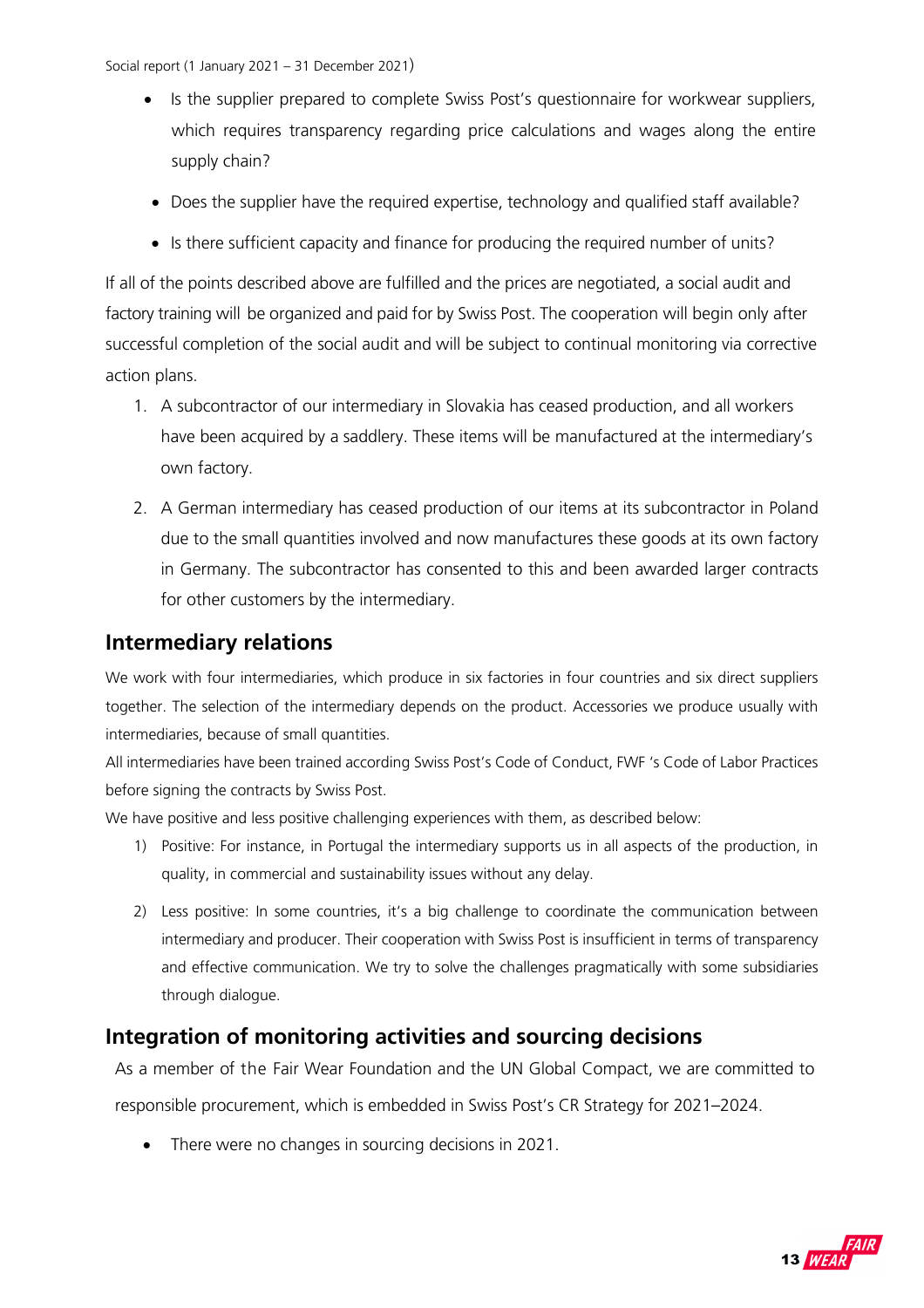- Is the supplier prepared to complete Swiss Post's questionnaire for workwear suppliers, which requires transparency regarding price calculations and wages along the entire supply chain?
- Does the supplier have the required expertise, technology and qualified staff available?
- Is there sufficient capacity and finance for producing the required number of units?

If all of the points described above are fulfilled and the prices are negotiated, a social audit and factory training will be organized and paid for by Swiss Post. The cooperation will begin only after successful completion of the social audit and will be subject to continual monitoring via corrective action plans.

- 1. A subcontractor of our intermediary in Slovakia has ceased production, and all workers have been acquired by a saddlery. These items will be manufactured at the intermediary's own factory.
- 2. A German intermediary has ceased production of our items at its subcontractor in Poland due to the small quantities involved and now manufactures these goods at its own factory in Germany. The subcontractor has consented to this and been awarded larger contracts for other customers by the intermediary.

### **Intermediary relations**

We work with four intermediaries, which produce in six factories in four countries and six direct suppliers together. The selection of the intermediary depends on the product. Accessories we produce usually with intermediaries, because of small quantities.

All intermediaries have been trained according Swiss Post's Code of Conduct, FWF 's Code of Labor Practices before signing the contracts by Swiss Post.

We have positive and less positive challenging experiences with them, as described below:

- 1) Positive: For instance, in Portugal the intermediary supports us in all aspects of the production, in quality, in commercial and sustainability issues without any delay.
- 2) Less positive: In some countries, it's a big challenge to coordinate the communication between intermediary and producer. Their cooperation with Swiss Post is insufficient in terms of transparency and effective communication. We try to solve the challenges pragmatically with some subsidiaries through dialogue.

### **Integration of monitoring activities and sourcing decisions**

As a member of the Fair Wear Foundation and the UN Global Compact, we are committed to responsible procurement, which is embedded in Swiss Post's CR Strategy for 2021–2024.

• There were no changes in sourcing decisions in 2021.

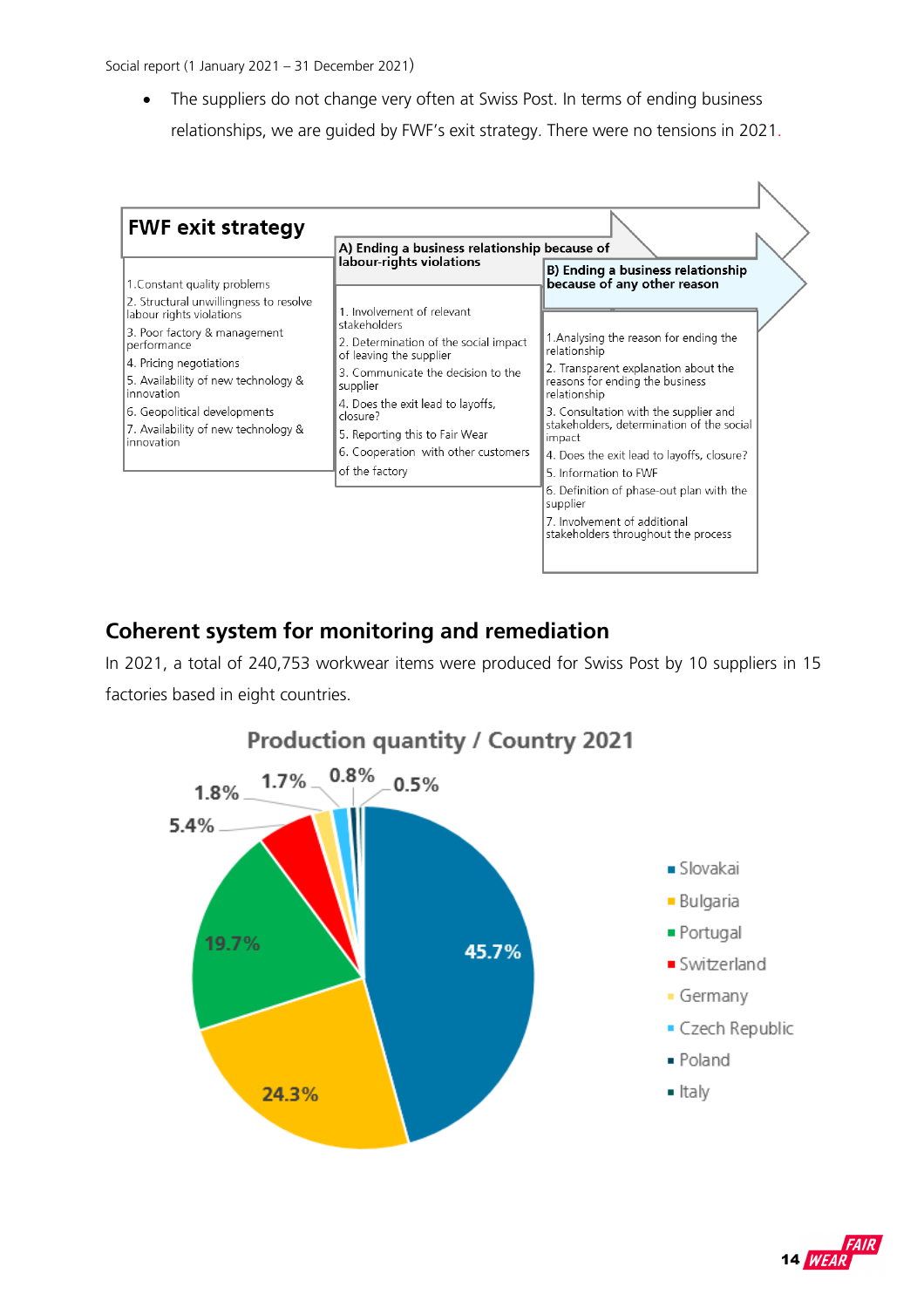• The suppliers do not change very often at Swiss Post. In terms of ending business relationships, we are guided by FWF's exit strategy. There were no tensions in 2021.

| <b>FWF exit strategy</b>                                                          |                                                                                 |                                                                                              |  |  |  |  |
|-----------------------------------------------------------------------------------|---------------------------------------------------------------------------------|----------------------------------------------------------------------------------------------|--|--|--|--|
|                                                                                   | A) Ending a business relationship because of                                    |                                                                                              |  |  |  |  |
| 1. Constant quality problems                                                      | labour-rights violations                                                        | <b>B) Ending a business relationship</b><br>because of any other reason                      |  |  |  |  |
| 2. Structural unwillingness to resolve<br>labour rights violations                | 1. Involvement of relevant<br>stakeholders                                      |                                                                                              |  |  |  |  |
| 3. Poor factory & management<br>performance                                       | 2. Determination of the social impact<br>of leaving the supplier                | 1. Analysing the reason for ending the<br>relationship                                       |  |  |  |  |
| 4. Pricing negotiations<br>5. Availability of new technology &<br>innovation      | 3. Communicate the decision to the<br>supplier                                  | 2. Transparent explanation about the<br>reasons for ending the business<br>relationship      |  |  |  |  |
| 6. Geopolitical developments<br>7. Availability of new technology &<br>innovation | 4. Does the exit lead to layoffs,<br>closure?<br>5. Reporting this to Fair Wear | 3. Consultation with the supplier and<br>stakeholders, determination of the social<br>impact |  |  |  |  |
|                                                                                   | 6. Cooperation with other customers<br>of the factory                           | 4. Does the exit lead to layoffs, closure?<br>5. Information to FWF                          |  |  |  |  |
|                                                                                   |                                                                                 | 6. Definition of phase-out plan with the<br>supplier                                         |  |  |  |  |
|                                                                                   |                                                                                 | 7. Involvement of additional<br>stakeholders throughout the process                          |  |  |  |  |

## **Coherent system for monitoring and remediation**

In 2021, a total of 240,753 workwear items were produced for Swiss Post by 10 suppliers in 15 factories based in eight countries.



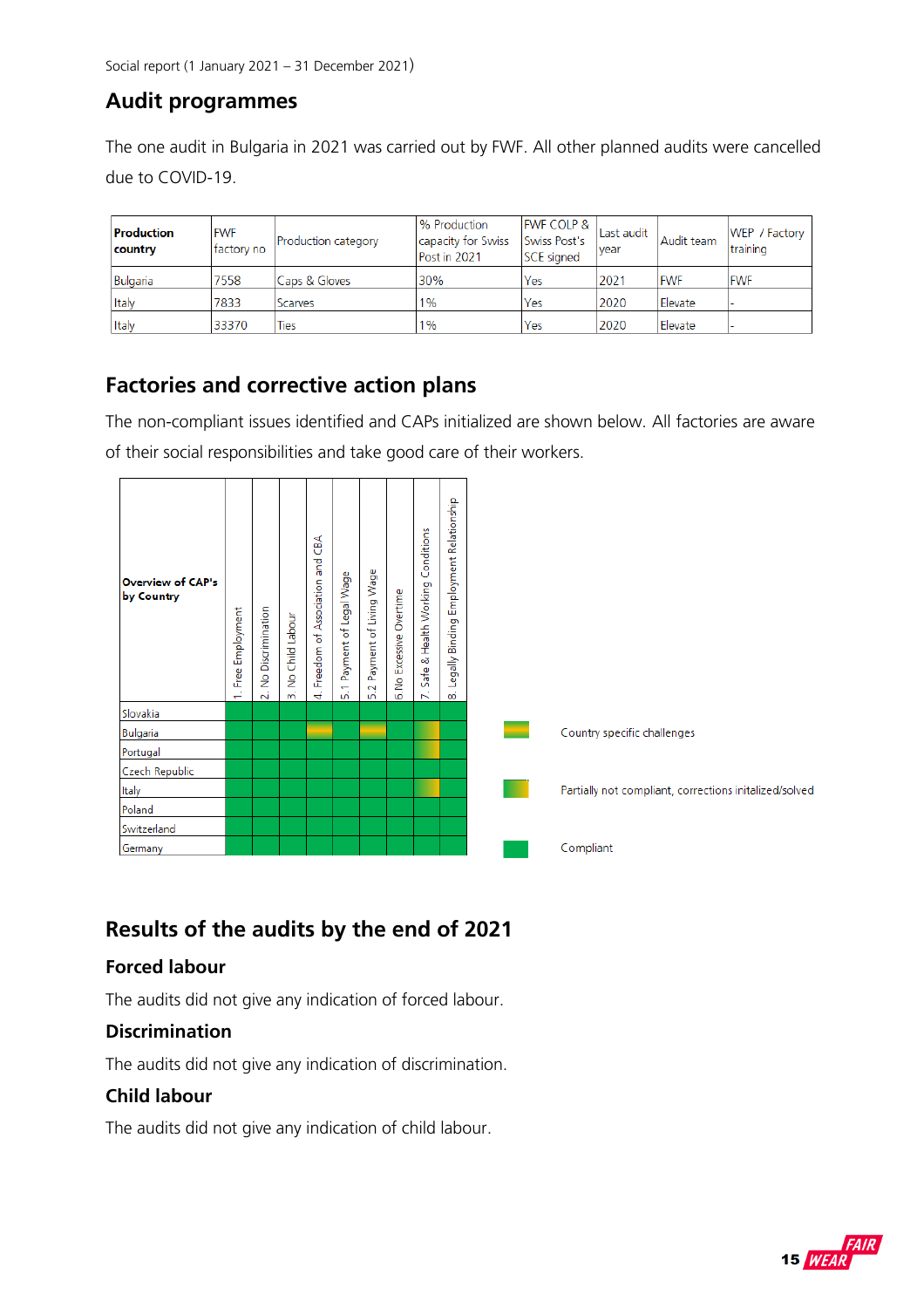## **Audit programmes**

The one audit in Bulgaria in 2021 was carried out by FWF. All other planned audits were cancelled due to COVID-19.

| Production<br>country | <b>IFWF</b><br>factory no | Production category | % Production<br>capacity for Swiss<br>Post in 2021 | <b>FWF COLP &amp;</b><br>Swiss Post's<br><b>SCE</b> signed | Last audit<br>vear | Audit team | WEP / Factory  <br>training |
|-----------------------|---------------------------|---------------------|----------------------------------------------------|------------------------------------------------------------|--------------------|------------|-----------------------------|
| Bulgaria              | 7558                      | Caps & Gloves       | 30%                                                | Yes                                                        | 2021               | <b>FWF</b> | <b>FWF</b>                  |
| Italy                 | 7833                      | <b>Scarves</b>      | $1\%$                                              | Yes                                                        | 2020               | Elevate    |                             |
| <b>Italv</b>          | 33370                     | <b>Ties</b>         | $1\%$                                              | Yes                                                        | 2020               | Elevate    |                             |

## **Factories and corrective action plans**

The non-compliant issues identified and CAPs initialized are shown below. All factories are aware of their social responsibilities and take good care of their workers.

| <b>Overview of CAP's</b><br>by Country | Employment<br>Free<br>÷. | Discrimination<br>ş<br>$\overline{N}$ | Child Labour<br>å<br>$\overline{m}$ | ĞЯ<br>ng<br>Ta<br>Association<br>Freedom of<br>4 | Payment of Legal Wage<br>$\leftarrow$<br>μή | Payment of Living Wage<br>$\mathbf{\sim}$<br><u>uni</u> | Overtime<br>6. No Excessive | Conditions<br>Health Working<br>οð<br>Safe<br>K. | Relationship<br>Employment<br>Binding<br>Legally I<br>$\infty$ |
|----------------------------------------|--------------------------|---------------------------------------|-------------------------------------|--------------------------------------------------|---------------------------------------------|---------------------------------------------------------|-----------------------------|--------------------------------------------------|----------------------------------------------------------------|
| Slovakia                               |                          |                                       |                                     |                                                  |                                             |                                                         |                             |                                                  |                                                                |
| Bulgaria                               |                          |                                       |                                     |                                                  |                                             |                                                         |                             |                                                  |                                                                |
| Portugal                               |                          |                                       |                                     |                                                  |                                             |                                                         |                             |                                                  |                                                                |
| Czech Republic                         |                          |                                       |                                     |                                                  |                                             |                                                         |                             |                                                  |                                                                |
| Italy                                  |                          |                                       |                                     |                                                  |                                             |                                                         |                             |                                                  |                                                                |
| Poland                                 |                          |                                       |                                     |                                                  |                                             |                                                         |                             |                                                  |                                                                |
|                                        |                          |                                       |                                     |                                                  |                                             |                                                         |                             |                                                  |                                                                |
| Switzerland                            |                          |                                       |                                     |                                                  |                                             |                                                         |                             |                                                  |                                                                |

## **Results of the audits by the end of 2021**

#### **Forced labour**

The audits did not give any indication of forced labour.

#### **Discrimination**

The audits did not give any indication of discrimination.

#### **Child labour**

The audits did not give any indication of child labour.

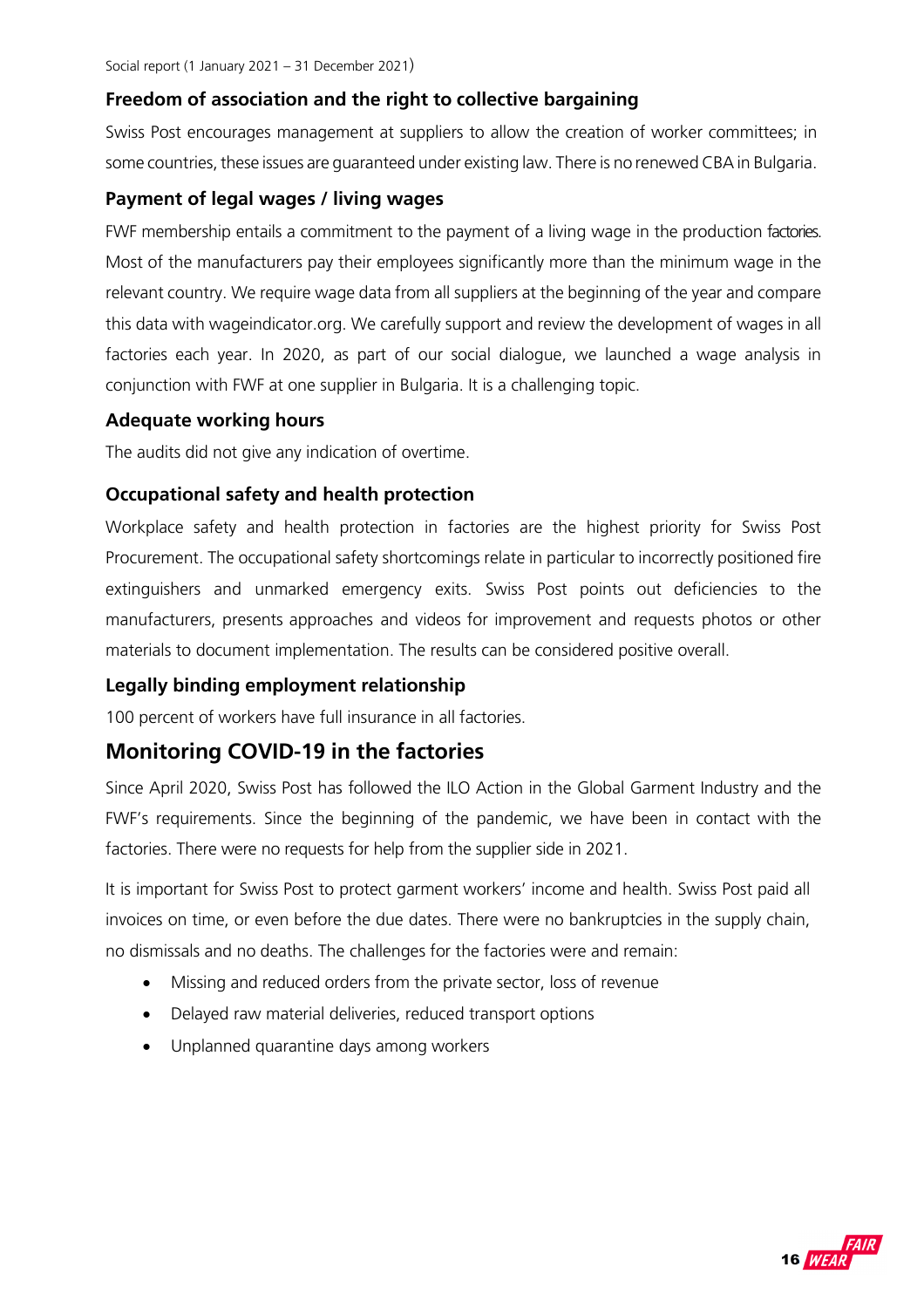#### **Freedom of association and the right to collective bargaining**

Swiss Post encourages management at suppliers to allow the creation of worker committees; in some countries, these issues are guaranteed under existing law. There is no renewed CBA in Bulgaria.

#### **Payment of legal wages / living wages**

FWF membership entails a commitment to the payment of a living wage in the production factories. Most of the manufacturers pay their employees significantly more than the minimum wage in the relevant country. We require wage data from all suppliers at the beginning of the year and compare this data with wageindicator.org. We carefully support and review the development of wages in all factories each year. In 2020, as part of our social dialogue, we launched a wage analysis in conjunction with FWF at one supplier in Bulgaria. It is a challenging topic.

#### **Adequate working hours**

The audits did not give any indication of overtime.

#### **Occupational safety and health protection**

Workplace safety and health protection in factories are the highest priority for Swiss Post Procurement. The occupational safety shortcomings relate in particular to incorrectly positioned fire extinguishers and unmarked emergency exits. Swiss Post points out deficiencies to the manufacturers, presents approaches and videos for improvement and requests photos or other materials to document implementation. The results can be considered positive overall.

#### **Legally binding employment relationship**

100 percent of workers have full insurance in all factories.

### **Monitoring COVID-19 in the factories**

Since April 2020, Swiss Post has followed the ILO Action in the Global Garment Industry and the FWF's requirements. Since the beginning of the pandemic, we have been in contact with the factories. There were no requests for help from the supplier side in 2021.

It is important for Swiss Post to protect garment workers' income and health. Swiss Post paid all invoices on time, or even before the due dates. There were no bankruptcies in the supply chain, no dismissals and no deaths. The challenges for the factories were and remain:

- Missing and reduced orders from the private sector, loss of revenue
- Delayed raw material deliveries, reduced transport options
- Unplanned quarantine days among workers

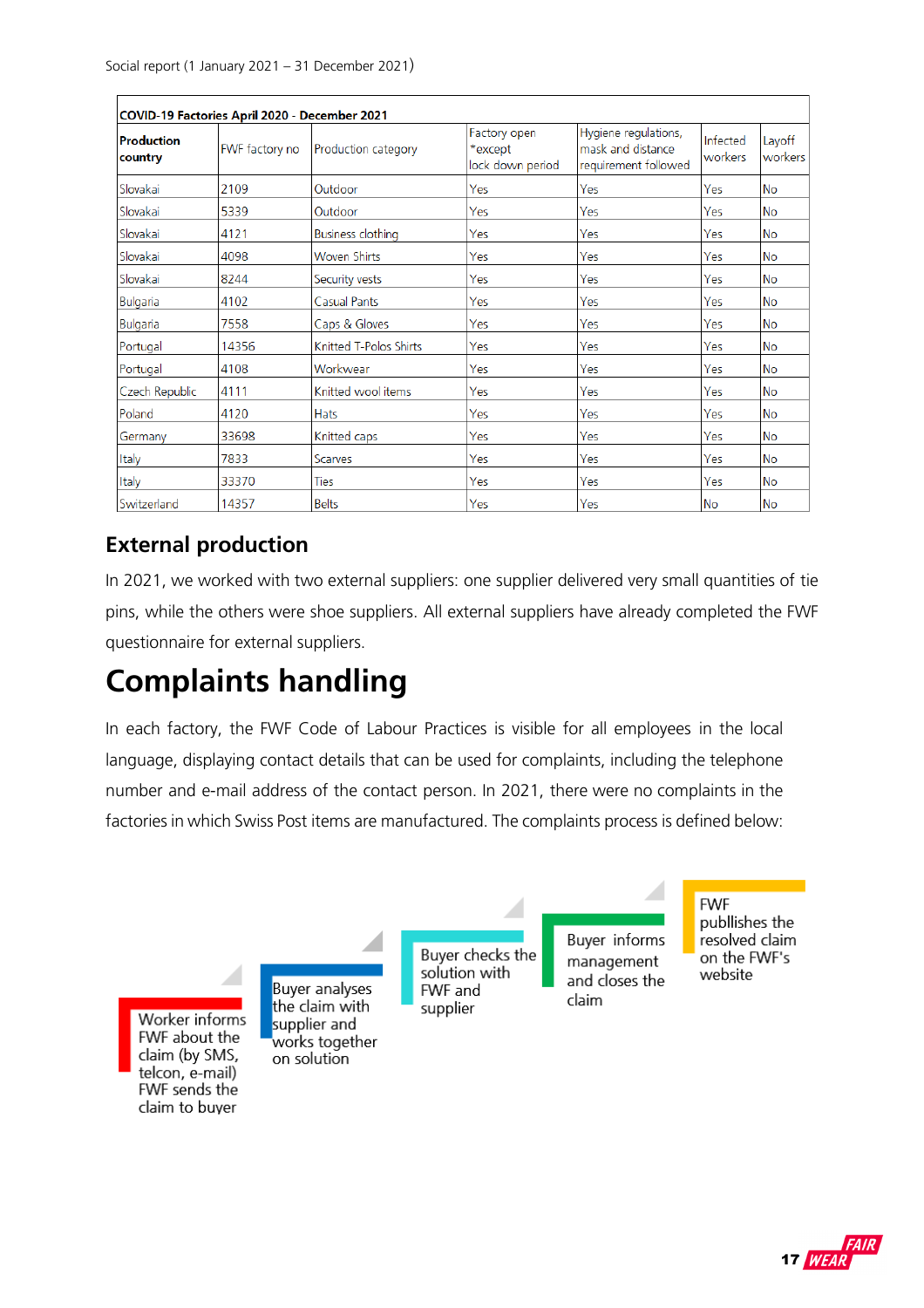| Production<br>country | FWF factory no | Production category      | Factory open<br>*except<br>lock down period | Hygiene regulations,<br>mask and distance<br>requirement followed | Infected<br>workers | Layoff<br>workers |  |
|-----------------------|----------------|--------------------------|---------------------------------------------|-------------------------------------------------------------------|---------------------|-------------------|--|
| Slovakai              | 2109           | Outdoor                  | Yes                                         | Yes                                                               | Yes                 | lNo               |  |
| Slovakai              | 5339           | Outdoor                  | Yes                                         | Yes                                                               | Yes                 | <b>No</b>         |  |
| Slovakai              | 4121           | <b>Business clothing</b> | Yes                                         | Yes                                                               | Yes                 | <b>No</b>         |  |
| Slovakai              | 4098           | <b>Woven Shirts</b>      | Yes                                         | Yes                                                               | Yes                 | <b>No</b>         |  |
| Slovakai              | 8244           | Security vests           | Yes                                         | Yes                                                               | Yes                 | <b>No</b>         |  |
| <b>Bulgaria</b>       | 4102           | <b>Casual Pants</b>      | Yes                                         | Yes                                                               | Yes                 | <b>No</b>         |  |
| Bulgaria              | 7558           | Caps & Gloves            | Yes                                         | Yes                                                               | Yes                 | <b>No</b>         |  |
| Portugal              | 14356          | Knitted T-Polos Shirts   | Yes                                         | Yes                                                               | Yes                 | <b>No</b>         |  |
| Portugal              | 4108           | Workwear                 | Yes                                         | Yes                                                               | Yes                 | No                |  |
| Czech Republic        | 4111           | Knitted wool items       | Yes                                         | Yes                                                               | Yes                 | No                |  |
| Poland                | 4120           | <b>Hats</b>              | Yes                                         | Yes                                                               | Yes                 | lNo               |  |
| Germany               | 33698          | Knitted caps             | Yes                                         | Yes                                                               | Yes                 | lNo.              |  |
| Italy                 | 7833           | Scarves                  | Yes                                         | Yes                                                               | Yes                 | <b>No</b>         |  |
| Italy                 | 33370          | <b>Ties</b>              | Yes                                         | Yes                                                               | Yes                 | No                |  |
| Switzerland           | 14357          | <b>Belts</b>             | Yes                                         | Yes                                                               | lNo                 | lNo               |  |

## **External production**

In 2021, we worked with two external suppliers: one supplier delivered very small quantities of tie pins, while the others were shoe suppliers. All external suppliers have already completed the FWF questionnaire for external suppliers.

## **Complaints handling**

In each factory, the FWF Code of Labour Practices is visible for all employees in the local language, displaying contact details that can be used for complaints, including the telephone number and e-mail address of the contact person. In 2021, there were no complaints in the factories in which Swiss Post items are manufactured. The complaints process is defined below:



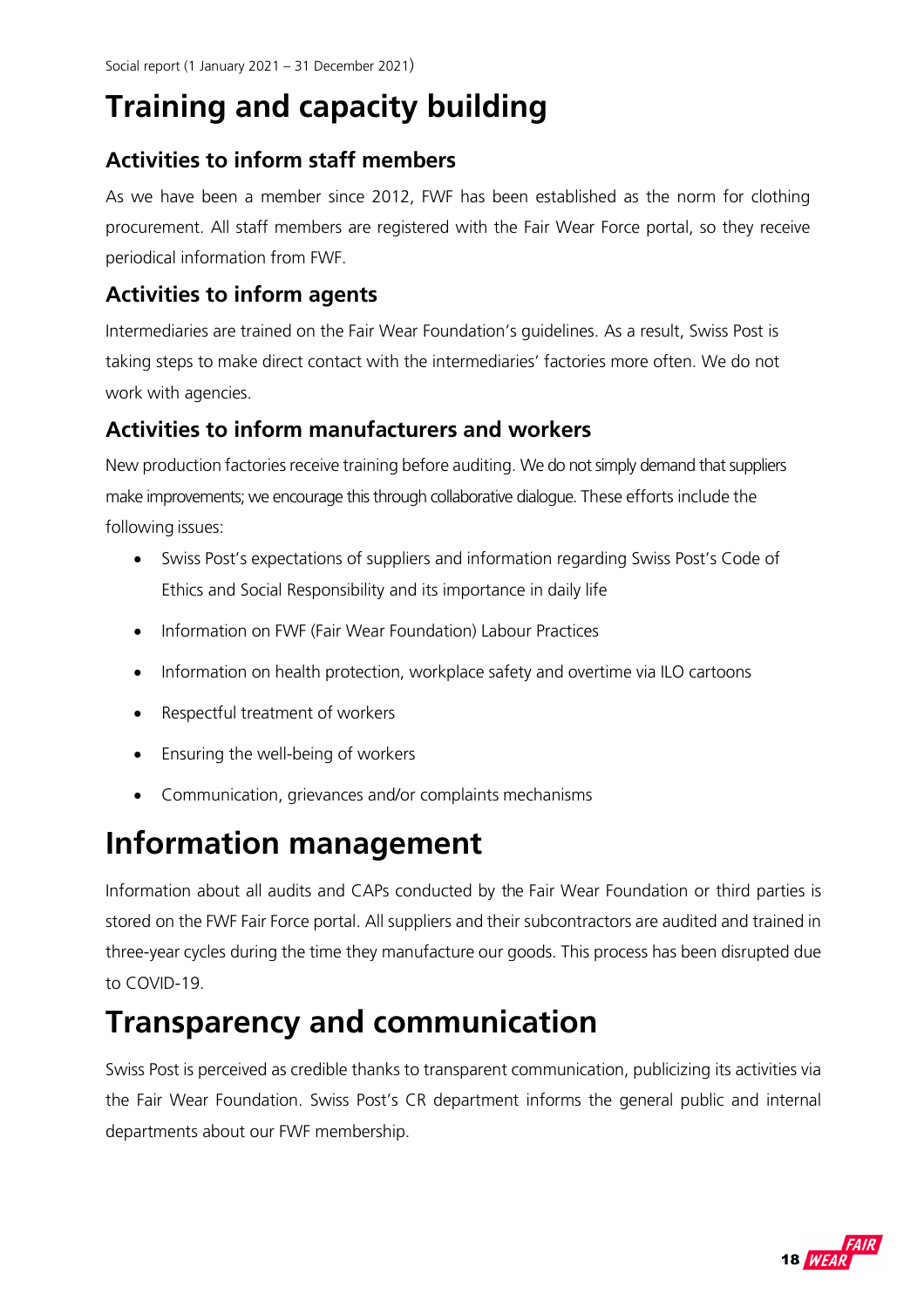## **Training and capacity building**

## **Activities to inform staff members**

As we have been a member since 2012, FWF has been established as the norm for clothing procurement. All staff members are registered with the Fair Wear Force portal, so they receive periodical information from FWF.

## **Activities to inform agents**

Intermediaries are trained on the Fair Wear Foundation's guidelines. As a result, Swiss Post is taking steps to make direct contact with the intermediaries' factories more often. We do not work with agencies.

## **Activities to inform manufacturers and workers**

New production factories receive training before auditing. We do not simply demand that suppliers make improvements; we encourage this through collaborative dialogue. These efforts include the following issues:

- Swiss Post's expectations of suppliers and information regarding Swiss Post's Code of Ethics and Social Responsibility and its importance in daily life
- Information on FWF (Fair Wear Foundation) Labour Practices
- Information on health protection, workplace safety and overtime via ILO cartoons
- Respectful treatment of workers
- Ensuring the well-being of workers
- Communication, grievances and/or complaints mechanisms

## **Information management**

Information about all audits and CAPs conducted by the Fair Wear Foundation or third parties is stored on the FWF Fair Force portal. All suppliers and their subcontractors are audited and trained in three- year cycles during the time they manufacture our goods. This process has been disrupted due to COVID-19.

## **Transparency and communication**

Swiss Post is perceived as credible thanks to transparent communication, publicizing its activities via the Fair Wear Foundation. Swiss Post's CR department informs the general public and internal departments about our FWF membership.

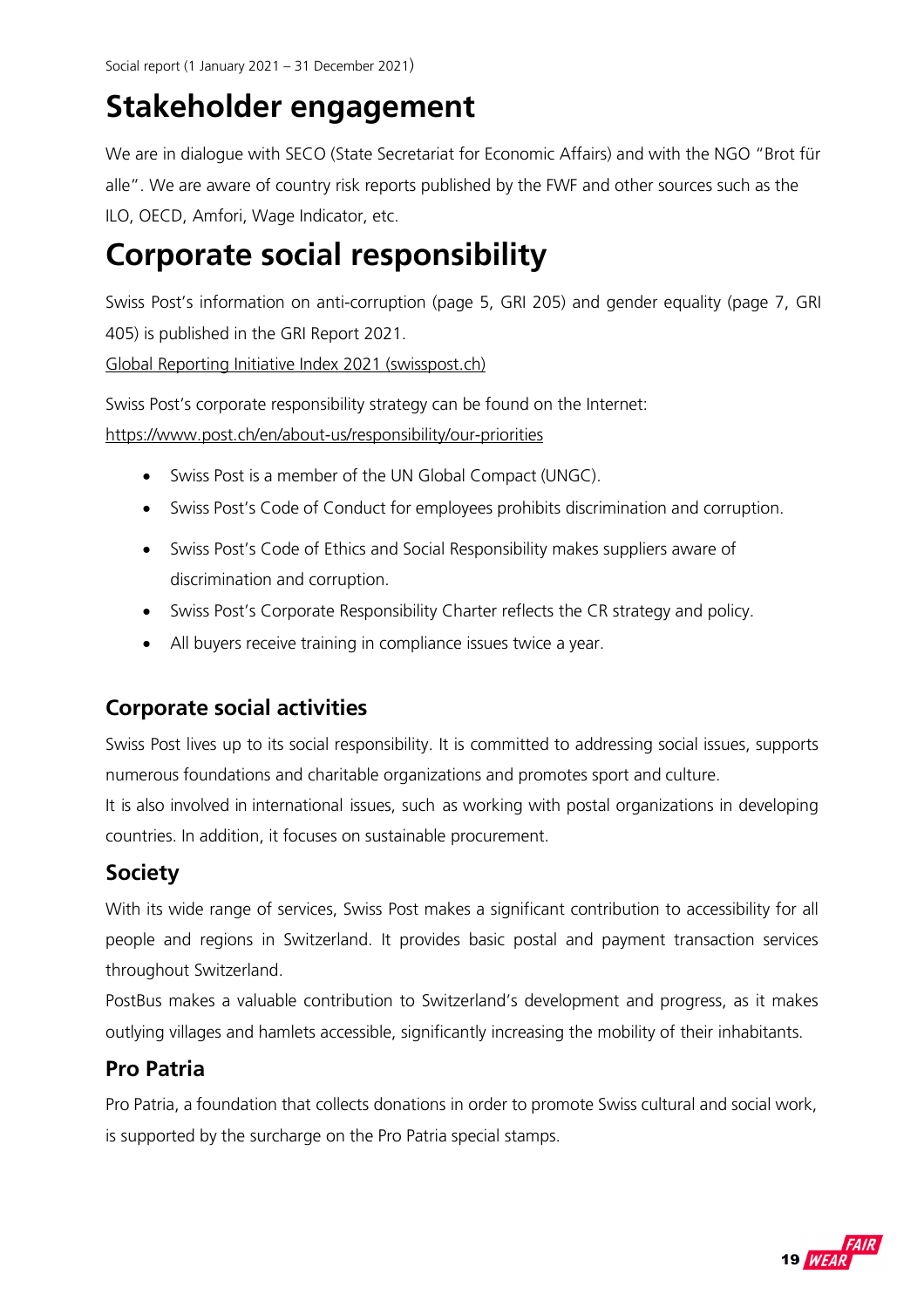## **Stakeholder engagement**

We are in dialogue with SECO (State Secretariat for Economic Affairs) and with the NGO "Brot für alle". We are aware of country risk reports published by the FWF and other sources such as the ILO, OECD, Amfori, Wage Indicator, etc.

## **Corporate social responsibility**

Swiss Post's information on anti-corruption (page 5, GRI 205) and gender equality (page 7, GRI 405) is published in the GRI Report 2021.

Global Reporting Initiative Index 2021 (swisspost.ch)

Swiss Post's corporate responsibility strategy can be found on the Internet:

https://www.post.ch/en/about-us/responsibility/our-priorities

- Swiss Post is a member of the UN Global Compact (UNGC).
- Swiss Post's Code of Conduct for employees prohibits discrimination and corruption.
- Swiss Post's Code of Ethics and Social Responsibility makes suppliers aware of discrimination and corruption.
- Swiss Post's Corporate Responsibility Charter reflects the CR strategy and policy.
- All buyers receive training in compliance issues twice a year.

## **Corporate social activities**

Swiss Post lives up to its social responsibility. It is committed to addressing social issues, supports numerous foundations and charitable organizations and promotes sport and culture.

It is also involved in international issues, such as working with postal organizations in developing countries. In addition, it focuses on sustainable procurement.

## **Society**

With its wide range of services, Swiss Post makes a significant contribution to accessibility for all people and regions in Switzerland. It provides basic postal and payment transaction services throughout Switzerland.

PostBus makes a valuable contribution to Switzerland's development and progress, as it makes outlying villages and hamlets accessible, significantly increasing the mobility of their inhabitants.

## **Pro Patria**

Pro Patria, a foundation that collects donations in order to promote Swiss cultural and social work, is supported by the surcharge on the Pro Patria special stamps.

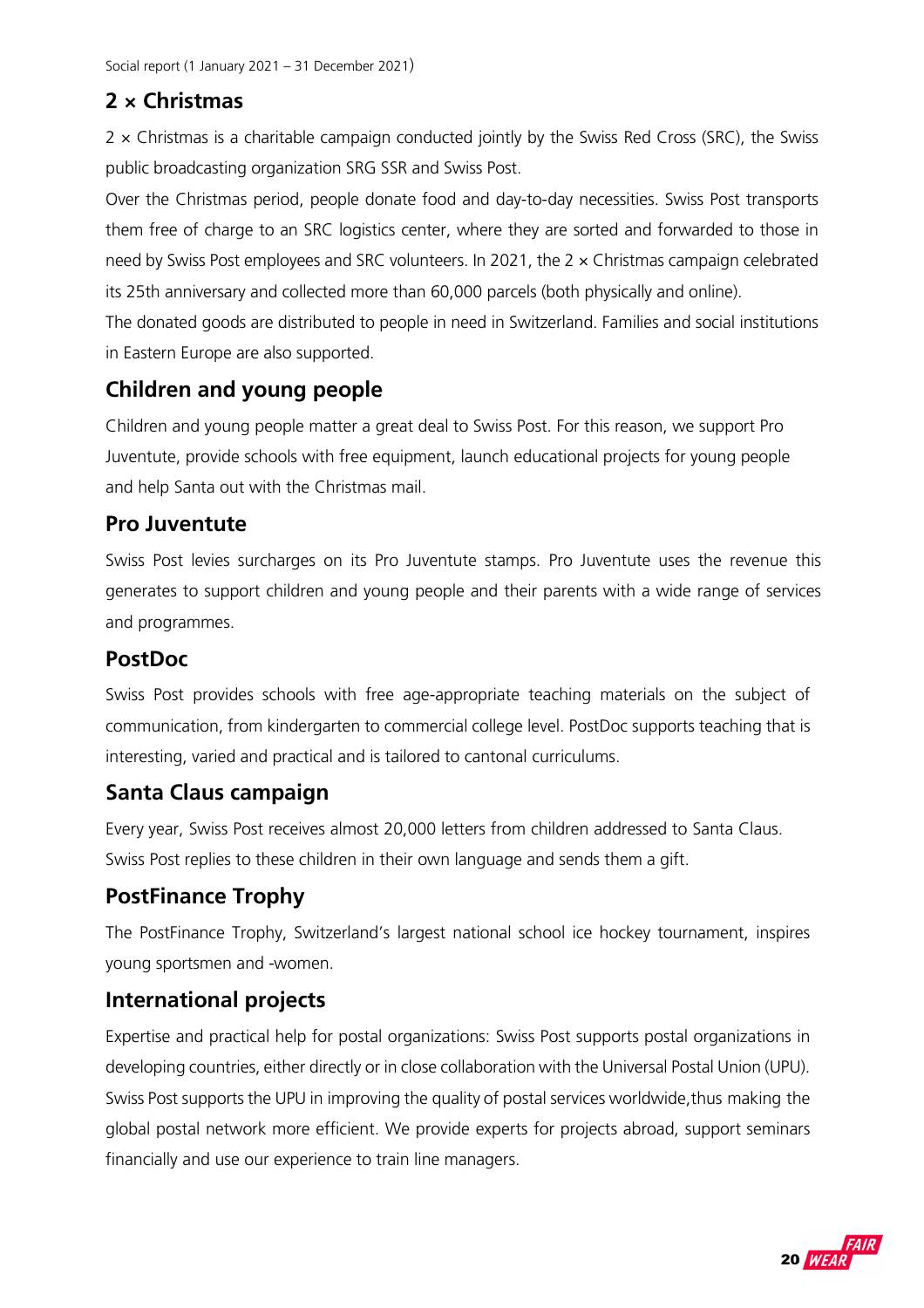## **2 × Christmas**

 $2 \times$  Christmas is a charitable campaign conducted jointly by the Swiss Red Cross (SRC), the Swiss public broadcasting organization SRG SSR and Swiss Post.

Over the Christmas period, people donate food and day-to-day necessities. Swiss Post transports them free of charge to an SRC logistics center, where they are sorted and forwarded to those in need by Swiss Post employees and SRC volunteers. In 2021, the 2 × Christmas campaign celebrated its 25th anniversary and collected more than 60,000 parcels (both physically and online).

The donated goods are distributed to people in need in Switzerland. Families and social institutions in Eastern Europe are also supported.

## **Children and young people**

Children and young people matter a great deal to Swiss Post. For this reason, we support Pro Juventute, provide schools with free equipment, launch educational projects for young people and help Santa out with the Christmas mail.

## **Pro Juventute**

Swiss Post levies surcharges on its Pro Juventute stamps. Pro Juventute uses the revenue this generates to support children and young people and their parents with a wide range of services and programmes.

## **PostDoc**

Swiss Post provides schools with free age-appropriate teaching materials on the subject of communication, from kindergarten to commercial college level. PostDoc supports teaching that is interesting, varied and practical and is tailored to cantonal curriculums.

## **Santa Claus campaign**

Every year, Swiss Post receives almost 20,000 letters from children addressed to Santa Claus. Swiss Post replies to these children in their own language and sends them a gift.

## **PostFinance Trophy**

The PostFinance Trophy, Switzerland's largest national school ice hockey tournament, inspires young sportsmen and -women.

## **International projects**

Expertise and practical help for postal organizations: Swiss Post supports postal organizations in developing countries, either directly or in close collaboration with the Universal Postal Union (UPU). Swiss Post supports the UPU in improving the quality of postal services worldwide, thus making the global postal network more efficient. We provide experts for projects abroad, support seminars financially and use our experience to train line managers.

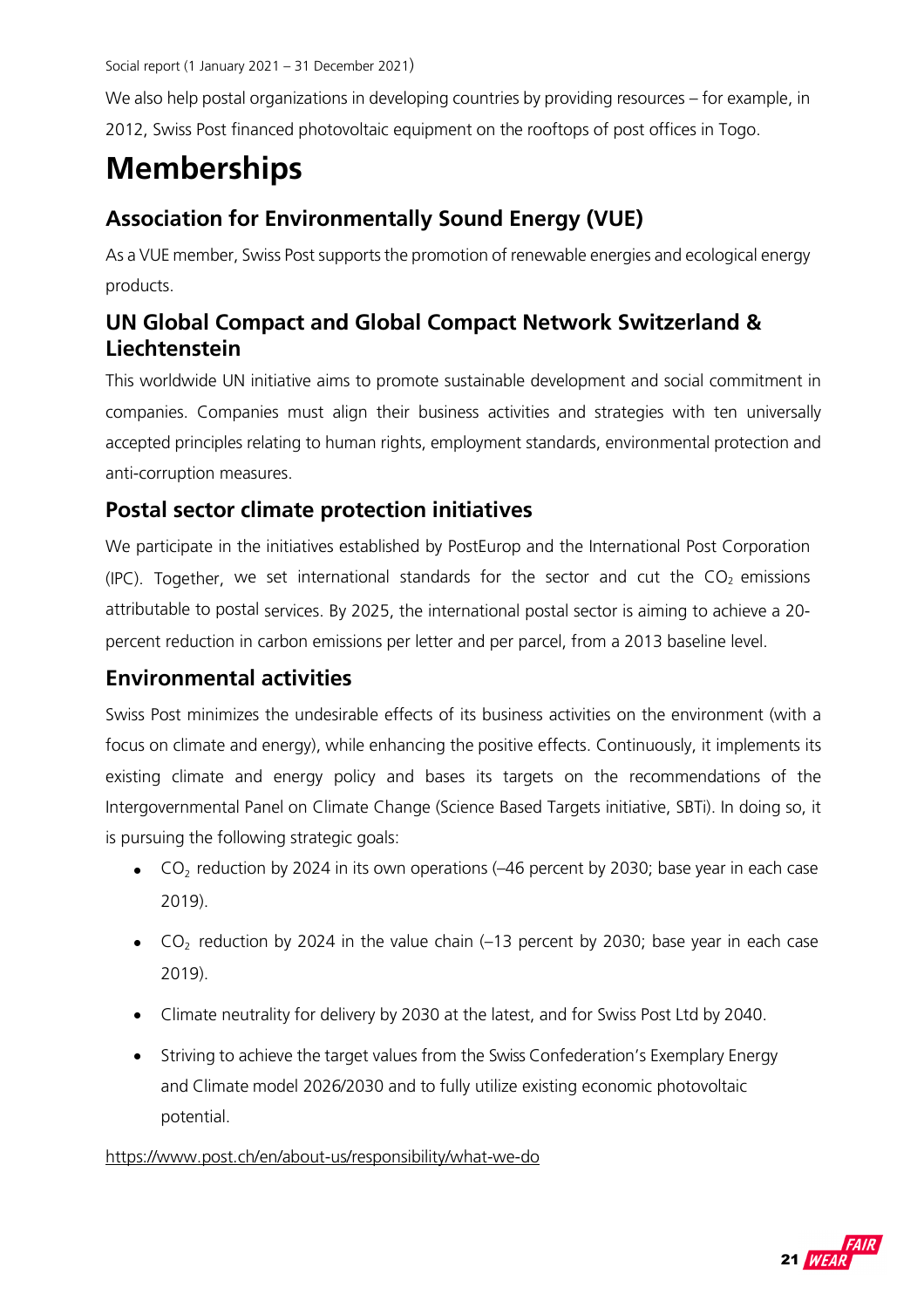We also help postal organizations in developing countries by providing resources – for example, in 2012, Swiss Post financed photovoltaic equipment on the rooftops of post offices in Togo.

## **Memberships**

## **Association for Environmentally Sound Energy (VUE)**

As a VUE member, Swiss Post supports the promotion of renewable energies and ecological energy products.

## **UN Global Compact and Global Compact Network Switzerland & Liechtenstein**

This worldwide UN initiative aims to promote sustainable development and social commitment in companies. Companies must align their business activities and strategies with ten universally accepted principles relating to human rights, employment standards, environmental protection and anti-corruption measures.

## **Postal sector climate protection initiatives**

We participate in the initiatives established by PostEurop and the International Post Corporation (IPC). Together, we set international standards for the sector and cut the  $CO<sub>2</sub>$  emissions attributable to postal services. By 2025, the international postal sector is aiming to achieve a 20 percent reduction in carbon emissions per letter and per parcel, from a 2013 baseline level.

## **Environmental activities**

Swiss Post minimizes the undesirable effects of its business activities on the environment (with a focus on climate and energy), while enhancing the positive effects. Continuously, it implements its existing climate and energy policy and bases its targets on the recommendations of the Intergovernmental Panel on Climate Change (Science Based Targets initiative, SBTi). In doing so, it is pursuing the following strategic goals:

- $\bullet$  CO<sub>2</sub> reduction by 2024 in its own operations (-46 percent by 2030; base year in each case 2019).
- $\bullet$  CO<sub>2</sub> reduction by 2024 in the value chain (-13 percent by 2030; base year in each case 2019).
- Climate neutrality for delivery by 2030 at the latest, and for Swiss Post Ltd by 2040.
- Striving to achieve the target values from the Swiss Confederation's Exemplary Energy and Climate model 2026/2030 and to fully utilize existing economic photovoltaic potential.

#### https://www.post.ch/en/about-us/responsibility/what-we-do